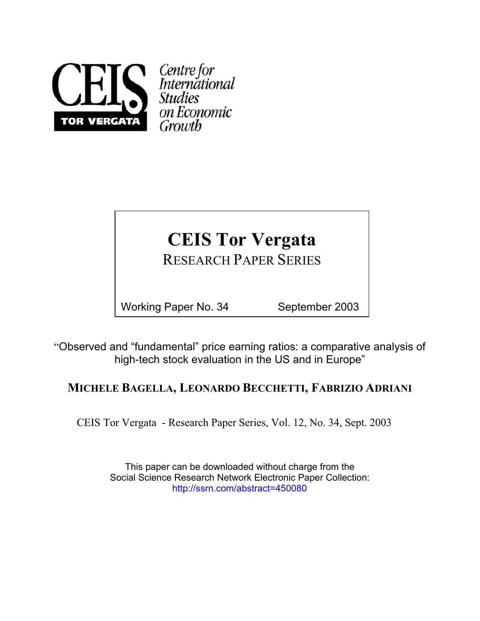

Centre for<br>International **Studies** on Economic Growth

# **CEIS Tor Vergata**

RESEARCH PAPER SERIES

Working Paper No. 34 September 2003

"Observed and "fundamental" price earning ratios: a comparative analysis of high-tech stock evaluation in the US and in Europe"

# **MICHELE BAGELLA, LEONARDO BECCHETTI, FABRIZIO ADRIANI**

CEIS Tor Vergata - Research Paper Series, Vol. 12, No. 34, Sept. 2003

This paper can be downloaded without charge from the Social Science Research Network Electronic Paper Collection: [http://ssrn.com/abstract=](http://ssrn.com/abstract=450080)450080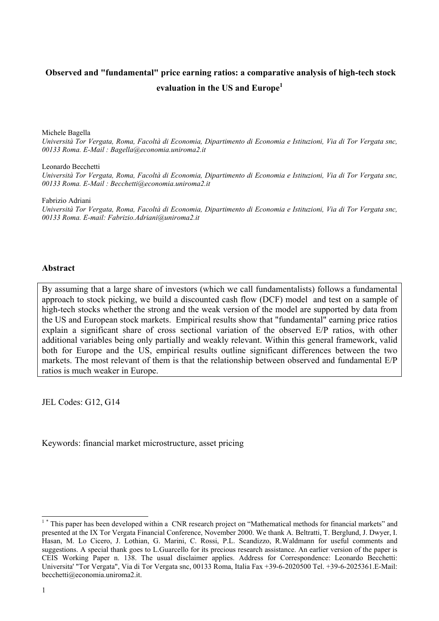# **Observed and "fundamental" price earning ratios: a comparative analysis of high-tech stock evaluation in the US and Europe<sup>1</sup>**

Michele Bagella

*Università Tor Vergata, Roma, Facoltà di Economia, Dipartimento di Economia e Istituzioni, Via di Tor Vergata snc, 00133 Roma. E-Mail : Bagella@economia.uniroma2.it* 

Leonardo Becchetti

*Università Tor Vergata, Roma, Facoltà di Economia, Dipartimento di Economia e Istituzioni, Via di Tor Vergata snc, 00133 Roma. E-Mail : Becchetti@economia.uniroma2.it* 

Fabrizio Adriani

*Università Tor Vergata, Roma, Facoltà di Economia, Dipartimento di Economia e Istituzioni, Via di Tor Vergata snc, 00133 Roma. E-mail: Fabrizio.Adriani@uniroma2.it* 

#### **Abstract**

By assuming that a large share of investors (which we call fundamentalists) follows a fundamental approach to stock picking, we build a discounted cash flow (DCF) model and test on a sample of high-tech stocks whether the strong and the weak version of the model are supported by data from the US and European stock markets. Empirical results show that "fundamental" earning price ratios explain a significant share of cross sectional variation of the observed E/P ratios, with other additional variables being only partially and weakly relevant. Within this general framework, valid both for Europe and the US, empirical results outline significant differences between the two markets. The most relevant of them is that the relationship between observed and fundamental E/P ratios is much weaker in Europe.

JEL Codes: G12, G14

Keywords: financial market microstructure, asset pricing

<sup>&</sup>lt;sup>1</sup> \* This paper has been developed within a CNR research project on "Mathematical methods for financial markets" and presented at the IX Tor Vergata Financial Conference, November 2000. We thank A. Beltratti, T. Berglund, J. Dwyer, I. Hasan, M. Lo Cicero, J. Lothian, G. Marini, C. Rossi, P.L. Scandizzo, R.Waldmann for useful comments and suggestions. A special thank goes to L.Guarcello for its precious research assistance. An earlier version of the paper is CEIS Working Paper n. 138. The usual disclaimer applies. Address for Correspondence: Leonardo Becchetti: Universita' "Tor Vergata", Via di Tor Vergata snc, 00133 Roma, Italia Fax +39-6-2020500 Tel. +39-6-2025361.E-Mail: becchetti@economia.uniroma2.it.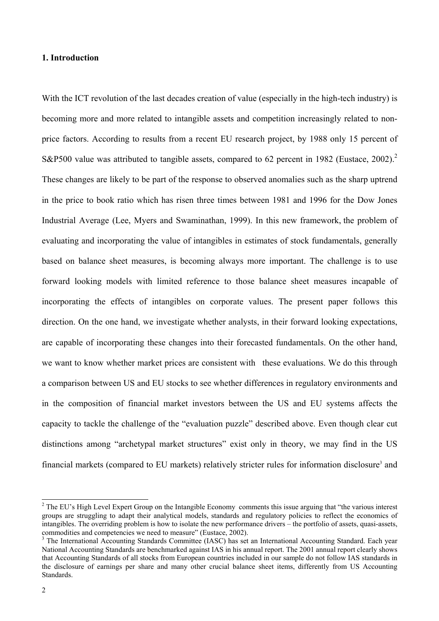#### **1. Introduction**

With the ICT revolution of the last decades creation of value (especially in the high-tech industry) is becoming more and more related to intangible assets and competition increasingly related to nonprice factors. According to results from a recent EU research project, by 1988 only 15 percent of S&P500 value was attributed to tangible assets, compared to 62 percent in 1982 (Eustace, 2002).<sup>2</sup> These changes are likely to be part of the response to observed anomalies such as the sharp uptrend in the price to book ratio which has risen three times between 1981 and 1996 for the Dow Jones Industrial Average (Lee, Myers and Swaminathan, 1999). In this new framework, the problem of evaluating and incorporating the value of intangibles in estimates of stock fundamentals, generally based on balance sheet measures, is becoming always more important. The challenge is to use forward looking models with limited reference to those balance sheet measures incapable of incorporating the effects of intangibles on corporate values. The present paper follows this direction. On the one hand, we investigate whether analysts, in their forward looking expectations, are capable of incorporating these changes into their forecasted fundamentals. On the other hand, we want to know whether market prices are consistent with these evaluations. We do this through a comparison between US and EU stocks to see whether differences in regulatory environments and in the composition of financial market investors between the US and EU systems affects the capacity to tackle the challenge of the "evaluation puzzle" described above. Even though clear cut distinctions among "archetypal market structures" exist only in theory, we may find in the US financial markets (compared to EU markets) relatively stricter rules for information disclosure<sup>3</sup> and

<sup>&</sup>lt;sup>2</sup> The EU's High Level Expert Group on the Intangible Economy comments this issue arguing that "the various interest" groups are struggling to adapt their analytical models, standards and regulatory policies to reflect the economics of intangibles. The overriding problem is how to isolate the new performance drivers – the portfolio of assets, quasi-assets, commodities and competencies we need to measure" (Eustace, 2002).

<sup>&</sup>lt;sup>3</sup> The International Accounting Standards Committee (IASC) has set an International Accounting Standard. Each year National Accounting Standards are benchmarked against IAS in his annual report. The 2001 annual report clearly shows that Accounting Standards of all stocks from European countries included in our sample do not follow IAS standards in the disclosure of earnings per share and many other crucial balance sheet items, differently from US Accounting Standards.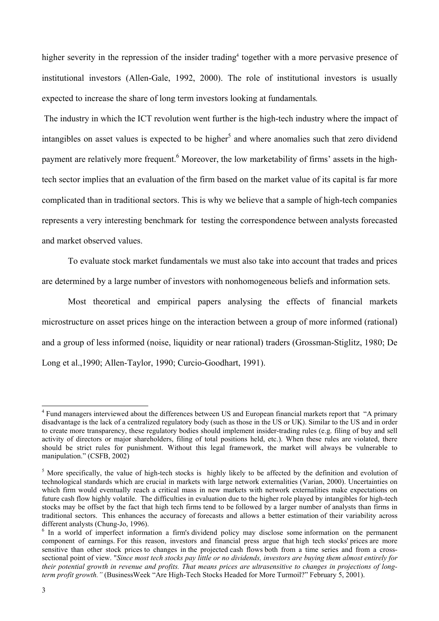higher severity in the repression of the insider trading<sup>4</sup> together with a more pervasive presence of institutional investors (Allen-Gale, 1992, 2000). The role of institutional investors is usually expected to increase the share of long term investors looking at fundamentals*.*

The industry in which the ICT revolution went further is the high-tech industry where the impact of intangibles on asset values is expected to be higher<sup>5</sup> and where anomalies such that zero dividend payment are relatively more frequent. Moreover, the low marketability of firms' assets in the hightech sector implies that an evaluation of the firm based on the market value of its capital is far more complicated than in traditional sectors. This is why we believe that a sample of high-tech companies represents a very interesting benchmark for testing the correspondence between analysts forecasted and market observed values.

To evaluate stock market fundamentals we must also take into account that trades and prices are determined by a large number of investors with nonhomogeneous beliefs and information sets.

Most theoretical and empirical papers analysing the effects of financial markets microstructure on asset prices hinge on the interaction between a group of more informed (rational) and a group of less informed (noise, liquidity or near rational) traders (Grossman-Stiglitz, 1980; De Long et al.,1990; Allen-Taylor, 1990; Curcio-Goodhart, 1991).

 $\overline{a}$ 

<sup>&</sup>lt;sup>4</sup> Fund managers interviewed about the differences between US and European financial markets report that "A primary disadvantage is the lack of a centralized regulatory body (such as those in the US or UK). Similar to the US and in order to create more transparency, these regulatory bodies should implement insider-trading rules (e.g. filing of buy and sell activity of directors or major shareholders, filing of total positions held, etc.). When these rules are violated, there should be strict rules for punishment. Without this legal framework, the market will always be vulnerable to manipulation." (CSFB, 2002)

<sup>&</sup>lt;sup>5</sup> More specifically, the value of high-tech stocks is highly likely to be affected by the definition and evolution of technological standards which are crucial in markets with large network externalities (Varian, 2000). Uncertainties on which firm would eventually reach a critical mass in new markets with network externalities make expectations on future cash flow highly volatile. The difficulties in evaluation due to the higher role played by intangibles for high-tech stocks may be offset by the fact that high tech firms tend to be followed by a larger number of analysts than firms in traditional sectors. This enhances the accuracy of forecasts and allows a better estimation of their variability across different analysts (Chung-Jo, 1996).

<sup>&</sup>lt;sup>6</sup> In a world of imperfect information a firm's dividend policy may disclose some information on the permanent component of earnings. For this reason, investors and financial press argue that high tech stocks' prices are more sensitive than other stock prices to changes in the projected cash flows both from a time series and from a crosssectional point of view. "*Since most tech stocks pay little or no dividends, investors are buying them almost entirely for their potential growth in revenue and profits. That means prices are ultrasensitive to changes in projections of longterm profit growth.*" (BusinessWeek "Are High-Tech Stocks Headed for More Turmoil?" February 5, 2001).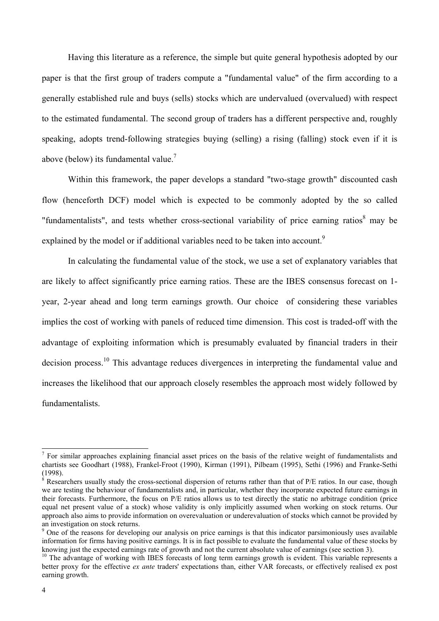Having this literature as a reference, the simple but quite general hypothesis adopted by our paper is that the first group of traders compute a "fundamental value" of the firm according to a generally established rule and buys (sells) stocks which are undervalued (overvalued) with respect to the estimated fundamental. The second group of traders has a different perspective and, roughly speaking, adopts trend-following strategies buying (selling) a rising (falling) stock even if it is above (below) its fundamental value.<sup>7</sup>

Within this framework, the paper develops a standard "two-stage growth" discounted cash flow (henceforth DCF) model which is expected to be commonly adopted by the so called "fundamentalists", and tests whether cross-sectional variability of price earning ratios $8 \text{ may be}$ explained by the model or if additional variables need to be taken into account.<sup>9</sup>

In calculating the fundamental value of the stock, we use a set of explanatory variables that are likely to affect significantly price earning ratios. These are the IBES consensus forecast on 1 year, 2-year ahead and long term earnings growth. Our choice of considering these variables implies the cost of working with panels of reduced time dimension. This cost is traded-off with the advantage of exploiting information which is presumably evaluated by financial traders in their decision process.<sup>10</sup> This advantage reduces divergences in interpreting the fundamental value and increases the likelihood that our approach closely resembles the approach most widely followed by fundamentalists.

 $\overline{a}$ 

 $<sup>7</sup>$  For similar approaches explaining financial asset prices on the basis of the relative weight of fundamentalists and</sup> chartists see Goodhart (1988), Frankel-Froot (1990), Kirman (1991), Pilbeam (1995), Sethi (1996) and Franke-Sethi (1998).

 $8$  Researchers usually study the cross-sectional dispersion of returns rather than that of P/E ratios. In our case, though we are testing the behaviour of fundamentalists and, in particular, whether they incorporate expected future earnings in their forecasts. Furthermore, the focus on P/E ratios allows us to test directly the static no arbitrage condition (price equal net present value of a stock) whose validity is only implicitly assumed when working on stock returns. Our approach also aims to provide information on overevaluation or underevaluation of stocks which cannot be provided by an investigation on stock returns.

<sup>&</sup>lt;sup>9</sup> One of the reasons for developing our analysis on price earnings is that this indicator parsimoniously uses available information for firms having positive earnings. It is in fact possible to evaluate the fundamental value of these stocks by knowing just the expected earnings rate of growth and not the current absolute value of earnings (see section 3).

<sup>&</sup>lt;sup>10</sup> The advantage of working with IBES forecasts of long term earnings growth is evident. This variable represents a better proxy for the effective *ex ante* traders' expectations than, either VAR forecasts, or effectively realised ex post earning growth.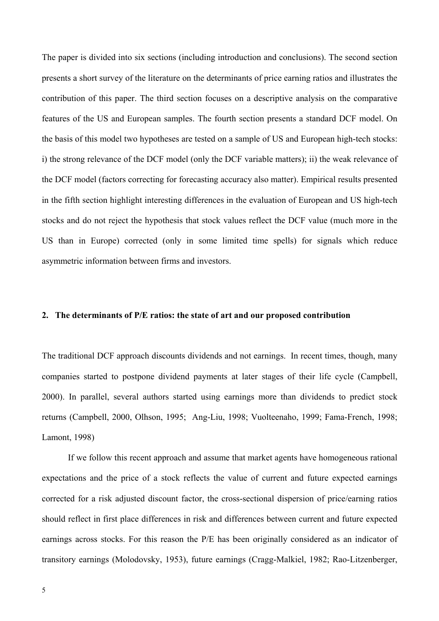The paper is divided into six sections (including introduction and conclusions). The second section presents a short survey of the literature on the determinants of price earning ratios and illustrates the contribution of this paper. The third section focuses on a descriptive analysis on the comparative features of the US and European samples. The fourth section presents a standard DCF model. On the basis of this model two hypotheses are tested on a sample of US and European high-tech stocks: i) the strong relevance of the DCF model (only the DCF variable matters); ii) the weak relevance of the DCF model (factors correcting for forecasting accuracy also matter). Empirical results presented in the fifth section highlight interesting differences in the evaluation of European and US high-tech stocks and do not reject the hypothesis that stock values reflect the DCF value (much more in the US than in Europe) corrected (only in some limited time spells) for signals which reduce asymmetric information between firms and investors.

#### **2. The determinants of P/E ratios: the state of art and our proposed contribution**

The traditional DCF approach discounts dividends and not earnings. In recent times, though, many companies started to postpone dividend payments at later stages of their life cycle (Campbell, 2000). In parallel, several authors started using earnings more than dividends to predict stock returns (Campbell, 2000, Olhson, 1995; Ang-Liu, 1998; Vuolteenaho, 1999; Fama-French, 1998; Lamont, 1998)

 If we follow this recent approach and assume that market agents have homogeneous rational expectations and the price of a stock reflects the value of current and future expected earnings corrected for a risk adjusted discount factor, the cross-sectional dispersion of price/earning ratios should reflect in first place differences in risk and differences between current and future expected earnings across stocks. For this reason the P/E has been originally considered as an indicator of transitory earnings (Molodovsky, 1953), future earnings (Cragg-Malkiel, 1982; Rao-Litzenberger,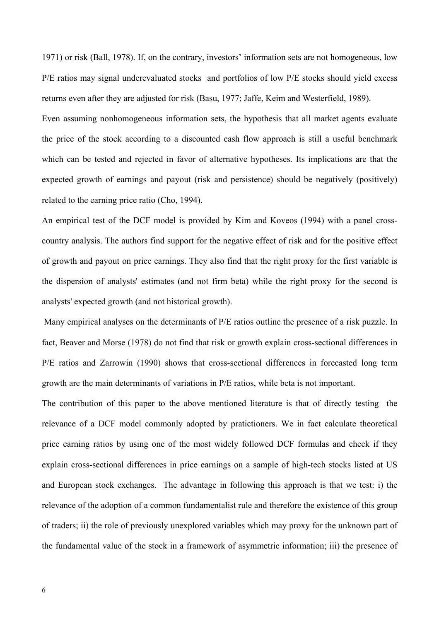1971) or risk (Ball, 1978). If, on the contrary, investors' information sets are not homogeneous, low P/E ratios may signal underevaluated stocks and portfolios of low P/E stocks should yield excess returns even after they are adjusted for risk (Basu, 1977; Jaffe, Keim and Westerfield, 1989).

Even assuming nonhomogeneous information sets, the hypothesis that all market agents evaluate the price of the stock according to a discounted cash flow approach is still a useful benchmark which can be tested and rejected in favor of alternative hypotheses. Its implications are that the expected growth of earnings and payout (risk and persistence) should be negatively (positively) related to the earning price ratio (Cho, 1994).

An empirical test of the DCF model is provided by Kim and Koveos (1994) with a panel crosscountry analysis. The authors find support for the negative effect of risk and for the positive effect of growth and payout on price earnings. They also find that the right proxy for the first variable is the dispersion of analysts' estimates (and not firm beta) while the right proxy for the second is analysts' expected growth (and not historical growth).

 Many empirical analyses on the determinants of P/E ratios outline the presence of a risk puzzle. In fact, Beaver and Morse (1978) do not find that risk or growth explain cross-sectional differences in P/E ratios and Zarrowin (1990) shows that cross-sectional differences in forecasted long term growth are the main determinants of variations in P/E ratios, while beta is not important.

The contribution of this paper to the above mentioned literature is that of directly testing the relevance of a DCF model commonly adopted by pratictioners. We in fact calculate theoretical price earning ratios by using one of the most widely followed DCF formulas and check if they explain cross-sectional differences in price earnings on a sample of high-tech stocks listed at US and European stock exchanges. The advantage in following this approach is that we test: i) the relevance of the adoption of a common fundamentalist rule and therefore the existence of this group of traders; ii) the role of previously unexplored variables which may proxy for the unknown part of the fundamental value of the stock in a framework of asymmetric information; iii) the presence of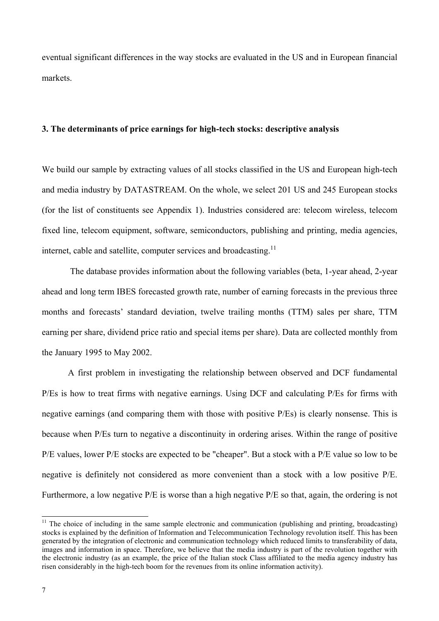eventual significant differences in the way stocks are evaluated in the US and in European financial markets.

#### **3. The determinants of price earnings for high-tech stocks: descriptive analysis**

We build our sample by extracting values of all stocks classified in the US and European high-tech and media industry by DATASTREAM. On the whole, we select 201 US and 245 European stocks (for the list of constituents see Appendix 1). Industries considered are: telecom wireless, telecom fixed line, telecom equipment, software, semiconductors, publishing and printing, media agencies, internet, cable and satellite, computer services and broadcasting.<sup>11</sup>

 The database provides information about the following variables (beta, 1-year ahead, 2-year ahead and long term IBES forecasted growth rate, number of earning forecasts in the previous three months and forecasts' standard deviation, twelve trailing months (TTM) sales per share, TTM earning per share, dividend price ratio and special items per share). Data are collected monthly from the January 1995 to May 2002.

A first problem in investigating the relationship between observed and DCF fundamental P/Es is how to treat firms with negative earnings. Using DCF and calculating P/Es for firms with negative earnings (and comparing them with those with positive P/Es) is clearly nonsense. This is because when P/Es turn to negative a discontinuity in ordering arises. Within the range of positive P/E values, lower P/E stocks are expected to be "cheaper". But a stock with a P/E value so low to be negative is definitely not considered as more convenient than a stock with a low positive P/E. Furthermore, a low negative P/E is worse than a high negative P/E so that, again, the ordering is not

 $\overline{a}$ 

 $11$  The choice of including in the same sample electronic and communication (publishing and printing, broadcasting) stocks is explained by the definition of Information and Telecommunication Technology revolution itself. This has been generated by the integration of electronic and communication technology which reduced limits to transferability of data, images and information in space. Therefore, we believe that the media industry is part of the revolution together with the electronic industry (as an example, the price of the Italian stock Class affiliated to the media agency industry has risen considerably in the high-tech boom for the revenues from its online information activity).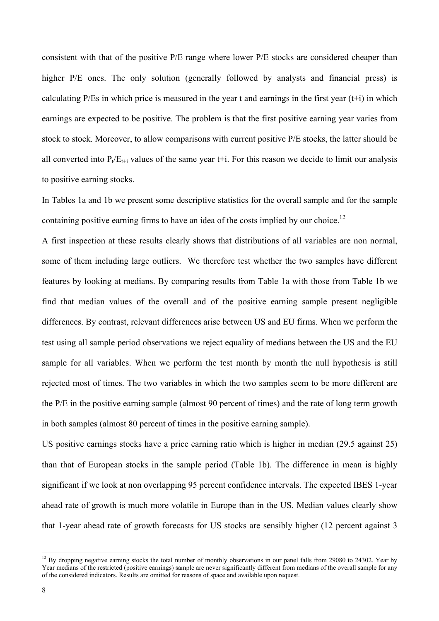consistent with that of the positive P/E range where lower P/E stocks are considered cheaper than higher P/E ones. The only solution (generally followed by analysts and financial press) is calculating P/Es in which price is measured in the year t and earnings in the first year (t+i) in which earnings are expected to be positive. The problem is that the first positive earning year varies from stock to stock. Moreover, to allow comparisons with current positive P/E stocks, the latter should be all converted into  $P_t/E_{t+i}$  values of the same year t+i. For this reason we decide to limit our analysis to positive earning stocks.

In Tables 1a and 1b we present some descriptive statistics for the overall sample and for the sample containing positive earning firms to have an idea of the costs implied by our choice.<sup>12</sup>

A first inspection at these results clearly shows that distributions of all variables are non normal, some of them including large outliers. We therefore test whether the two samples have different features by looking at medians. By comparing results from Table 1a with those from Table 1b we find that median values of the overall and of the positive earning sample present negligible differences. By contrast, relevant differences arise between US and EU firms. When we perform the test using all sample period observations we reject equality of medians between the US and the EU sample for all variables. When we perform the test month by month the null hypothesis is still rejected most of times. The two variables in which the two samples seem to be more different are the P/E in the positive earning sample (almost 90 percent of times) and the rate of long term growth in both samples (almost 80 percent of times in the positive earning sample).

US positive earnings stocks have a price earning ratio which is higher in median (29.5 against 25) than that of European stocks in the sample period (Table 1b). The difference in mean is highly significant if we look at non overlapping 95 percent confidence intervals. The expected IBES 1-year ahead rate of growth is much more volatile in Europe than in the US. Median values clearly show that 1-year ahead rate of growth forecasts for US stocks are sensibly higher (12 percent against 3

 $\overline{a}$ 

<sup>&</sup>lt;sup>12</sup> By dropping negative earning stocks the total number of monthly observations in our panel falls from 29080 to 24302. Year by Year medians of the restricted (positive earnings) sample are never significantly different from medians of the overall sample for any of the considered indicators. Results are omitted for reasons of space and available upon request.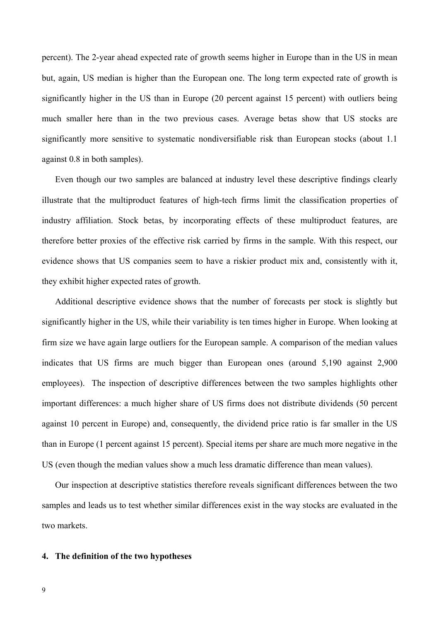percent). The 2-year ahead expected rate of growth seems higher in Europe than in the US in mean but, again, US median is higher than the European one. The long term expected rate of growth is significantly higher in the US than in Europe (20 percent against 15 percent) with outliers being much smaller here than in the two previous cases. Average betas show that US stocks are significantly more sensitive to systematic nondiversifiable risk than European stocks (about 1.1 against 0.8 in both samples).

Even though our two samples are balanced at industry level these descriptive findings clearly illustrate that the multiproduct features of high-tech firms limit the classification properties of industry affiliation. Stock betas, by incorporating effects of these multiproduct features, are therefore better proxies of the effective risk carried by firms in the sample. With this respect, our evidence shows that US companies seem to have a riskier product mix and, consistently with it, they exhibit higher expected rates of growth.

Additional descriptive evidence shows that the number of forecasts per stock is slightly but significantly higher in the US, while their variability is ten times higher in Europe. When looking at firm size we have again large outliers for the European sample. A comparison of the median values indicates that US firms are much bigger than European ones (around 5,190 against 2,900 employees). The inspection of descriptive differences between the two samples highlights other important differences: a much higher share of US firms does not distribute dividends (50 percent against 10 percent in Europe) and, consequently, the dividend price ratio is far smaller in the US than in Europe (1 percent against 15 percent). Special items per share are much more negative in the US (even though the median values show a much less dramatic difference than mean values).

Our inspection at descriptive statistics therefore reveals significant differences between the two samples and leads us to test whether similar differences exist in the way stocks are evaluated in the two markets.

#### **4. The definition of the two hypotheses**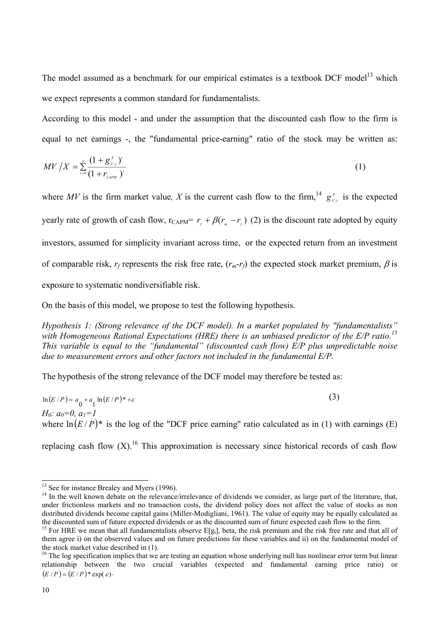The model assumed as a benchmark for our empirical estimates is a textbook DCF model<sup>13</sup> which we expect represents a common standard for fundamentalists.

According to this model - and under the assumption that the discounted cash flow to the firm is equal to net earnings -, the "fundamental price-earning" ratio of the stock may be written as:

$$
MV / X = \sum_{t=0}^{\infty} \frac{(1 + g_{U,t}^{E})^{t}}{(1 + r_{CHM})^{t}}
$$
 (1)

where MV is the firm market value, X is the current cash flow to the firm, <sup>14</sup>  $g_{\nu}^{\varepsilon}$  is the expected yearly rate of growth of cash flow,  $r_{\text{CAPM}} = r_f + \beta(r_m - r_f)$  (2) is the discount rate adopted by equity investors, assumed for simplicity invariant across time, or the expected return from an investment of comparable risk,  $r_f$  represents the risk free rate,  $(r_m - r_f)$  the expected stock market premium,  $\beta$  is exposure to systematic nondiversifiable risk.

On the basis of this model, we propose to test the following hypothesis.

*Hypothesis 1: (Strong relevance of the DCF model). In a market populated by "fundamentalists"*  with Homogeneous Rational Expectations (HRE) there is an unbiased predictor of the E/P ratio.<sup>15</sup> *This variable is equal to the "fundamental" (discounted cash flow) E/P plus unpredictable noise due to measurement errors and other factors not included in the fundamental E/P.* 

The hypothesis of the strong relevance of the DCF model may therefore be tested as:

 $\ln(E/P) = a_0 + a_1 \ln(E/P) * + \varepsilon$  (3) *H*<sub>0</sub>:  $a_0=0$ ,  $a_1=1$ where  $\ln(E/P)^*$  is the log of the "DCF price earning" ratio calculated as in (1) with earnings (E)

replacing cash flow  $(X)$ .<sup>16</sup> This approximation is necessary since historical records of cash flow

<sup>&</sup>lt;sup>13</sup> See for instance Brealey and Myers (1996).

<sup>&</sup>lt;sup>14</sup> In the well known debate on the relevance/irrelevance of dividends we consider, as large part of the literature, that, under frictionless markets and no transaction costs, the dividend policy does not affect the value of stocks as non distributed dividends become capital gains (Miller-Modigliani, 1961). The value of equity may be equally calculated as the discounted sum of future expected dividends or as the discounted sum of future expected cash flow to the firm.

<sup>&</sup>lt;sup>15</sup> For HRE we mean that all fundamentalists observe  $E[g_t]$ , beta, the risk premium and the risk free rate and that all of them agree i) on the observed values and on future predictions for these variables and ii) on the fundamental model of the stock market value described in (1).

<sup>&</sup>lt;sup>16</sup> The log specification implies that we are testing an equation whose underlying null has nonlinear error term but linear relationship between the two crucial variables (expected and fundamental earning price ratio) or  $(E/P) = (E/P)^* \exp(\varepsilon).$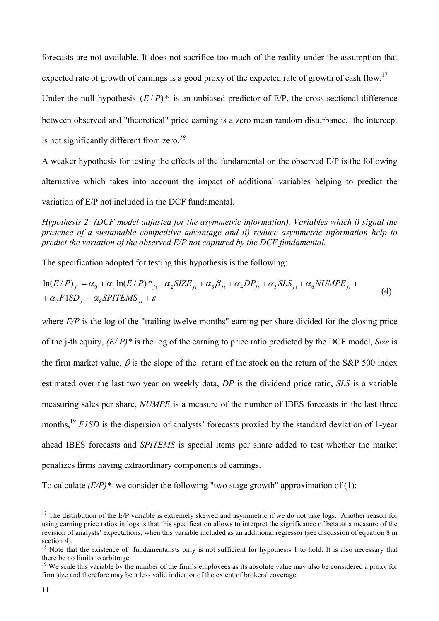forecasts are not available. It does not sacrifice too much of the reality under the assumption that expected rate of growth of earnings is a good proxy of the expected rate of growth of cash flow.<sup>17</sup> Under the null hypothesis  $(E/P)^*$  is an unbiased predictor of E/P, the cross-sectional difference between observed and "theoretical" price earning is a zero mean random disturbance, the intercept is not significantly different from zero.*<sup>18</sup>*

A weaker hypothesis for testing the effects of the fundamental on the observed E/P is the following alternative which takes into account the impact of additional variables helping to predict the variation of E/P not included in the DCF fundamental.

*Hypothesis 2: (DCF model adjusted for the asymmetric information). Variables which i) signal the presence of a sustainable competitive advantage and ii) reduce asymmetric information help to predict the variation of the observed E/P not captured by the DCF fundamental.* 

The specification adopted for testing this hypothesis is the following:

$$
\ln(E/P)_{jt} = \alpha_0 + \alpha_1 \ln(E/P)^*_{jt} + \alpha_2 \text{SIZE}_{jt} + \alpha_3 \beta_{jt} + \alpha_4 DP_{jt} + \alpha_5 \text{SLS}_{jt} + \alpha_6 \text{NUMPE}_{jt} + \alpha_7 \text{FISD}_{jt} + \alpha_8 \text{SPITEMS}_{jt} + \varepsilon
$$
\n
$$
(4)
$$

where *E/P* is the log of the "trailing twelve months" earning per share divided for the closing price of the j-th equity, *(E/ P)\** is the log of the earning to price ratio predicted by the DCF model, *Size* is the firm market value,  $\beta$  is the slope of the return of the stock on the return of the S&P 500 index estimated over the last two year on weekly data, *DP* is the dividend price ratio, *SLS* is a variable measuring sales per share, *NUMPE* is a measure of the number of IBES forecasts in the last three months,<sup>19</sup> *F1SD* is the dispersion of analysts' forecasts proxied by the standard deviation of 1-year ahead IBES forecasts and *SPITEMS* is special items per share added to test whether the market penalizes firms having extraordinary components of earnings.

To calculate  $(E/P)^*$  we consider the following "two stage growth" approximation of (1):

 $17$  The distribution of the E/P variable is extremely skewed and asymmetric if we do not take logs. Another reason for using earning price ratios in logs is that this specification allows to interpret the significance of beta as a measure of the revision of analysts' expectations, when this variable included as an additional regressor (see discussion of equation 8 in section 4).

 $18$  Note that the existence of fundamentalists only is not sufficient for hypothesis 1 to hold. It is also necessary that there be no limits to arbitrage.

<sup>&</sup>lt;sup>19</sup> We scale this variable by the number of the firm's employees as its absolute value may also be considered a proxy for firm size and therefore may be a less valid indicator of the extent of brokers' coverage.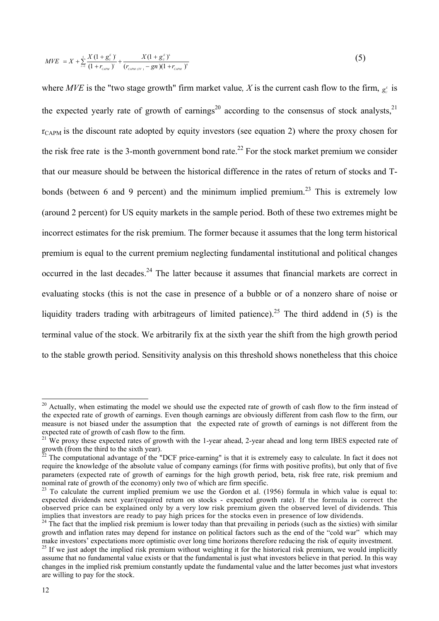$$
MVE = X + \sum_{t=1}^{s} \frac{X(1+g_v^E)^t}{(1+r_{clPM})^t} + \frac{X(1+g_v^E)^6}{(r_{clPM(TY)} - gn)(1+r_{clPM})^6}
$$
(5)

where *MVE* is the "two stage growth" firm market value, X is the current cash flow to the firm,  $g_{\nu}^{E}$  is the expected yearly rate of growth of earnings<sup>20</sup> according to the consensus of stock analysts.<sup>21</sup>  $r_{\text{CAPM}}$  is the discount rate adopted by equity investors (see equation 2) where the proxy chosen for the risk free rate is the 3-month government bond rate.<sup>22</sup> For the stock market premium we consider that our measure should be between the historical difference in the rates of return of stocks and Tbonds (between 6 and 9 percent) and the minimum implied premium.<sup>23</sup> This is extremely low (around 2 percent) for US equity markets in the sample period. Both of these two extremes might be incorrect estimates for the risk premium. The former because it assumes that the long term historical premium is equal to the current premium neglecting fundamental institutional and political changes occurred in the last decades.<sup>24</sup> The latter because it assumes that financial markets are correct in evaluating stocks (this is not the case in presence of a bubble or of a nonzero share of noise or liquidity traders trading with arbitrageurs of limited patience).<sup>25</sup> The third addend in (5) is the terminal value of the stock. We arbitrarily fix at the sixth year the shift from the high growth period to the stable growth period. Sensitivity analysis on this threshold shows nonetheless that this choice

<sup>&</sup>lt;sup>20</sup> Actually, when estimating the model we should use the expected rate of growth of cash flow to the firm instead of the expected rate of growth of earnings. Even though earnings are obviously different from cash flow to the firm, our measure is not biased under the assumption that the expected rate of growth of earnings is not different from the expected rate of growth of cash flow to the firm.

<sup>&</sup>lt;sup>21</sup> We proxy these expected rates of growth with the 1-year ahead, 2-year ahead and long term IBES expected rate of growth (from the third to the sixth year).

<sup>22</sup> The computational advantage of the "DCF price-earning" is that it is extremely easy to calculate. In fact it does not require the knowledge of the absolute value of company earnings (for firms with positive profits), but only that of five parameters (expected rate of growth of earnings for the high growth period, beta, risk free rate, risk premium and nominal rate of growth of the economy) only two of which are firm specific.

 $23$  To calculate the current implied premium we use the Gordon et al. (1956) formula in which value is equal to: expected dividends next year/(required return on stocks - expected growth rate). If the formula is correct the observed price can be explained only by a very low risk premium given the observed level of dividends. This implies that investors are ready to pay high prices for the stocks even in presence of low dividends.

 $24$  The fact that the implied risk premium is lower today than that prevailing in periods (such as the sixties) with similar growth and inflation rates may depend for instance on political factors such as the end of the "cold war" which may make investors' expectations more optimistic over long time horizons therefore reducing the risk of equity

<sup>&</sup>lt;sup>25</sup> If we just adopt the implied risk premium without weighting it for the historical risk premium, we would implicitly assume that no fundamental value exists or that the fundamental is just what investors believe in that period. In this way changes in the implied risk premium constantly update the fundamental value and the latter becomes just what investors are willing to pay for the stock.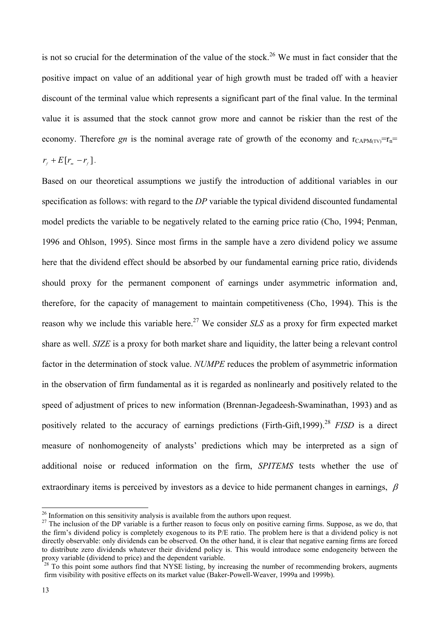is not so crucial for the determination of the value of the stock.<sup>26</sup> We must in fact consider that the positive impact on value of an additional year of high growth must be traded off with a heavier discount of the terminal value which represents a significant part of the final value. In the terminal value it is assumed that the stock cannot grow more and cannot be riskier than the rest of the economy. Therefore *gn* is the nominal average rate of growth of the economy and  $r_{\text{CAPM(TV)}}=r_{\text{n}}=$  $r_{c} + E[r_{n} - r_{c}]$ .

Based on our theoretical assumptions we justify the introduction of additional variables in our specification as follows: with regard to the *DP* variable the typical dividend discounted fundamental model predicts the variable to be negatively related to the earning price ratio (Cho, 1994; Penman, 1996 and Ohlson, 1995). Since most firms in the sample have a zero dividend policy we assume here that the dividend effect should be absorbed by our fundamental earning price ratio, dividends should proxy for the permanent component of earnings under asymmetric information and, therefore, for the capacity of management to maintain competitiveness (Cho, 1994). This is the reason why we include this variable here.<sup>27</sup> We consider *SLS* as a proxy for firm expected market share as well. *SIZE* is a proxy for both market share and liquidity, the latter being a relevant control factor in the determination of stock value. *NUMPE* reduces the problem of asymmetric information in the observation of firm fundamental as it is regarded as nonlinearly and positively related to the speed of adjustment of prices to new information (Brennan-Jegadeesh-Swaminathan, 1993) and as positively related to the accuracy of earnings predictions (Firth-Gift, 1999).<sup>28</sup> *FISD* is a direct measure of nonhomogeneity of analysts' predictions which may be interpreted as a sign of additional noise or reduced information on the firm, *SPITEMS* tests whether the use of extraordinary items is perceived by investors as a device to hide permanent changes in earnings,  $\beta$ 

 $26$  Information on this sensitivity analysis is available from the authors upon request.

<sup>&</sup>lt;sup>27</sup> The inclusion of the DP variable is a further reason to focus only on positive earning firms. Suppose, as we do, that the firm's dividend policy is completely exogenous to its P/E ratio. The problem here is that a dividend policy is not directly observable: only dividends can be observed. On the other hand, it is clear that negative earning firms are forced to distribute zero dividends whatever their dividend policy is. This would introduce some endogeneity between the proxy variable (dividend to price) and the dependent variable.

<sup>&</sup>lt;sup>28</sup> To this point some authors find that NYSE listing, by increasing the number of recommending brokers, augments firm visibility with positive effects on its market value (Baker-Powell-Weaver, 1999a and 1999b).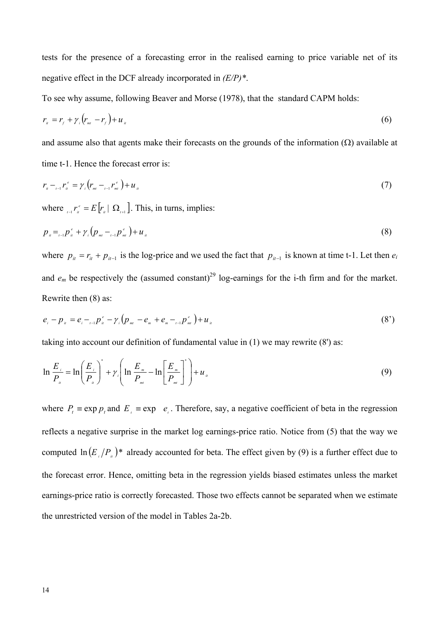tests for the presence of a forecasting error in the realised earning to price variable net of its negative effect in the DCF already incorporated in *(E/P)\**.

To see why assume, following Beaver and Morse (1978), that the standard CAPM holds:

$$
r_{u} = r_{f} + \gamma_{i} \left( r_{u} - r_{f} \right) + u_{u} \tag{6}
$$

and assume also that agents make their forecasts on the grounds of the information  $(\Omega)$  available at time t-1. Hence the forecast error is:

$$
r_{i} - \frac{1}{n} r_{i}^{e} = \gamma_{i} \left( r_{m} - \frac{1}{n} r_{m}^{e} \right) + u_{i}
$$
 (7)

where  $\sum_{i=1}^n r_i^e = E[r_i | \Omega_{i+1}]$ . This, in turns, implies:

$$
p_{u} = {}_{t-1}p_{u}^{e} + \gamma_{i}(p_{u} - {}_{t-1}p_{u}^{e}) + u_{u}
$$
\n(8)

where  $p_{it} = r_{it} + p_{it-1}$  is the log-price and we used the fact that  $p_{it-1}$  is known at time t-1. Let then  $e_i$ and  $e_m$  be respectively the (assumed constant)<sup>29</sup> log-earnings for the i-th firm and for the market. Rewrite then (8) as:

$$
e_{i} - p_{u} = e_{i} - \frac{1}{n+1} p_{u}^{e} - \gamma_{i} (p_{u} - e_{u} + e_{u} - \frac{1}{n+1} p_{u}^{e}) + u_{u}
$$
\n
$$
(8')
$$

taking into account our definition of fundamental value in (1) we may rewrite (8') as:

$$
\ln \frac{E_{i}}{P_{i}} = \ln \left(\frac{E_{i}}{P_{i}}\right)^{*} + \gamma_{i} \left(\ln \frac{E_{m}}{P_{m}} - \ln \left[\frac{E_{m}}{P_{m}}\right]^{*}\right) + u_{i}
$$
\n(9)

where  $P_t \equiv \exp p_t$  and  $E_t \equiv \exp e_t$ . Therefore, say, a negative coefficient of beta in the regression reflects a negative surprise in the market log earnings-price ratio. Notice from (5) that the way we computed  $\ln (E_i/P_i^*)^*$  already accounted for beta. The effect given by (9) is a further effect due to the forecast error. Hence, omitting beta in the regression yields biased estimates unless the market earnings-price ratio is correctly forecasted. Those two effects cannot be separated when we estimate the unrestricted version of the model in Tables 2a-2b.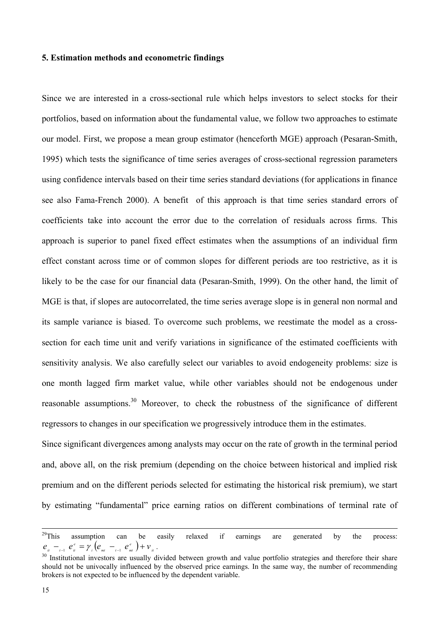#### **5. Estimation methods and econometric findings**

Since we are interested in a cross-sectional rule which helps investors to select stocks for their portfolios, based on information about the fundamental value, we follow two approaches to estimate our model. First, we propose a mean group estimator (henceforth MGE) approach (Pesaran-Smith, 1995) which tests the significance of time series averages of cross-sectional regression parameters using confidence intervals based on their time series standard deviations (for applications in finance see also Fama-French 2000). A benefit of this approach is that time series standard errors of coefficients take into account the error due to the correlation of residuals across firms. This approach is superior to panel fixed effect estimates when the assumptions of an individual firm effect constant across time or of common slopes for different periods are too restrictive, as it is likely to be the case for our financial data (Pesaran-Smith, 1999). On the other hand, the limit of MGE is that, if slopes are autocorrelated, the time series average slope is in general non normal and its sample variance is biased. To overcome such problems, we reestimate the model as a crosssection for each time unit and verify variations in significance of the estimated coefficients with sensitivity analysis. We also carefully select our variables to avoid endogeneity problems: size is one month lagged firm market value, while other variables should not be endogenous under reasonable assumptions.30 Moreover, to check the robustness of the significance of different regressors to changes in our specification we progressively introduce them in the estimates.

Since significant divergences among analysts may occur on the rate of growth in the terminal period and, above all, on the risk premium (depending on the choice between historical and implied risk premium and on the different periods selected for estimating the historical risk premium), we start by estimating "fundamental" price earning ratios on different combinations of terminal rate of

 $2^9$ This assumption can be easily relaxed if earnings are generated by the process:  $\left( e_{_{m t}}\leftarrow_{_{t-1}}e_{_{m t}}^{e}\right)+\overline{\nu}_{_{it}}$  $i \times m$   $t-1 \times m$  $e_{ii} - e_{ii} e_{ii}^e = \gamma_i (e_{mi} - e_{i-1}^e e_{mi}^e) + v_{ii}$ .

<sup>&</sup>lt;sup>30</sup> Institutional investors are usually divided between growth and value portfolio strategies and therefore their share should not be univocally influenced by the observed price earnings. In the same way, the number of recommending brokers is not expected to be influenced by the dependent variable.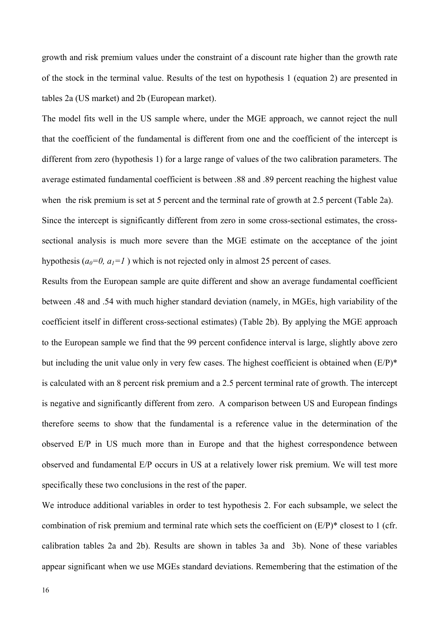growth and risk premium values under the constraint of a discount rate higher than the growth rate of the stock in the terminal value. Results of the test on hypothesis 1 (equation 2) are presented in tables 2a (US market) and 2b (European market).

The model fits well in the US sample where, under the MGE approach, we cannot reject the null that the coefficient of the fundamental is different from one and the coefficient of the intercept is different from zero (hypothesis 1) for a large range of values of the two calibration parameters. The average estimated fundamental coefficient is between .88 and .89 percent reaching the highest value when the risk premium is set at 5 percent and the terminal rate of growth at 2.5 percent (Table 2a). Since the intercept is significantly different from zero in some cross-sectional estimates, the crosssectional analysis is much more severe than the MGE estimate on the acceptance of the joint hypothesis  $(a_0=0, a_1=1)$  which is not rejected only in almost 25 percent of cases.

Results from the European sample are quite different and show an average fundamental coefficient between .48 and .54 with much higher standard deviation (namely, in MGEs, high variability of the coefficient itself in different cross-sectional estimates) (Table 2b). By applying the MGE approach to the European sample we find that the 99 percent confidence interval is large, slightly above zero but including the unit value only in very few cases. The highest coefficient is obtained when (E/P)\* is calculated with an 8 percent risk premium and a 2.5 percent terminal rate of growth. The intercept is negative and significantly different from zero. A comparison between US and European findings therefore seems to show that the fundamental is a reference value in the determination of the observed E/P in US much more than in Europe and that the highest correspondence between observed and fundamental E/P occurs in US at a relatively lower risk premium. We will test more specifically these two conclusions in the rest of the paper.

We introduce additional variables in order to test hypothesis 2. For each subsample, we select the combination of risk premium and terminal rate which sets the coefficient on (E/P)\* closest to 1 (cfr. calibration tables 2a and 2b). Results are shown in tables 3a and 3b). None of these variables appear significant when we use MGEs standard deviations. Remembering that the estimation of the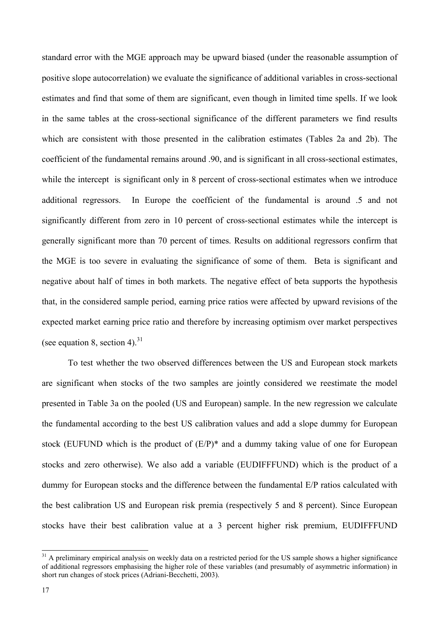standard error with the MGE approach may be upward biased (under the reasonable assumption of positive slope autocorrelation) we evaluate the significance of additional variables in cross-sectional estimates and find that some of them are significant, even though in limited time spells. If we look in the same tables at the cross-sectional significance of the different parameters we find results which are consistent with those presented in the calibration estimates (Tables 2a and 2b). The coefficient of the fundamental remains around .90, and is significant in all cross-sectional estimates, while the intercept is significant only in 8 percent of cross-sectional estimates when we introduce additional regressors. In Europe the coefficient of the fundamental is around .5 and not significantly different from zero in 10 percent of cross-sectional estimates while the intercept is generally significant more than 70 percent of times. Results on additional regressors confirm that the MGE is too severe in evaluating the significance of some of them. Beta is significant and negative about half of times in both markets. The negative effect of beta supports the hypothesis that, in the considered sample period, earning price ratios were affected by upward revisions of the expected market earning price ratio and therefore by increasing optimism over market perspectives (see equation 8, section 4).<sup>31</sup>

 To test whether the two observed differences between the US and European stock markets are significant when stocks of the two samples are jointly considered we reestimate the model presented in Table 3a on the pooled (US and European) sample. In the new regression we calculate the fundamental according to the best US calibration values and add a slope dummy for European stock (EUFUND which is the product of  $(E/P)^*$  and a dummy taking value of one for European stocks and zero otherwise). We also add a variable (EUDIFFFUND) which is the product of a dummy for European stocks and the difference between the fundamental E/P ratios calculated with the best calibration US and European risk premia (respectively 5 and 8 percent). Since European stocks have their best calibration value at a 3 percent higher risk premium, EUDIFFFUND

 $31$  A preliminary empirical analysis on weekly data on a restricted period for the US sample shows a higher significance of additional regressors emphasising the higher role of these variables (and presumably of asymmetric information) in short run changes of stock prices (Adriani-Becchetti, 2003).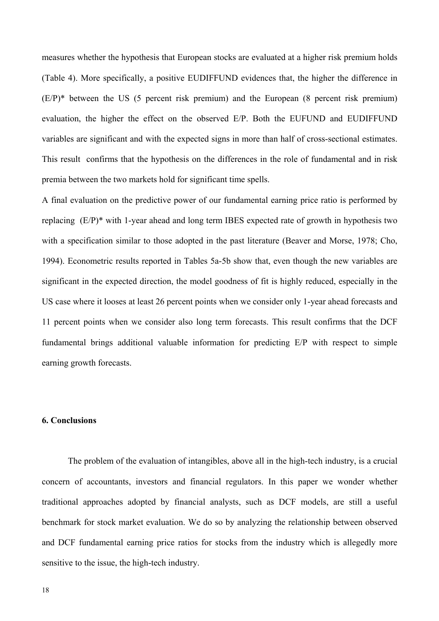measures whether the hypothesis that European stocks are evaluated at a higher risk premium holds (Table 4). More specifically, a positive EUDIFFUND evidences that, the higher the difference in (E/P)\* between the US (5 percent risk premium) and the European (8 percent risk premium) evaluation, the higher the effect on the observed E/P. Both the EUFUND and EUDIFFUND variables are significant and with the expected signs in more than half of cross-sectional estimates. This result confirms that the hypothesis on the differences in the role of fundamental and in risk premia between the two markets hold for significant time spells.

A final evaluation on the predictive power of our fundamental earning price ratio is performed by replacing (E/P)\* with 1-year ahead and long term IBES expected rate of growth in hypothesis two with a specification similar to those adopted in the past literature (Beaver and Morse, 1978; Cho, 1994). Econometric results reported in Tables 5a-5b show that, even though the new variables are significant in the expected direction, the model goodness of fit is highly reduced, especially in the US case where it looses at least 26 percent points when we consider only 1-year ahead forecasts and 11 percent points when we consider also long term forecasts. This result confirms that the DCF fundamental brings additional valuable information for predicting E/P with respect to simple earning growth forecasts.

#### **6. Conclusions**

The problem of the evaluation of intangibles, above all in the high-tech industry, is a crucial concern of accountants, investors and financial regulators. In this paper we wonder whether traditional approaches adopted by financial analysts, such as DCF models, are still a useful benchmark for stock market evaluation. We do so by analyzing the relationship between observed and DCF fundamental earning price ratios for stocks from the industry which is allegedly more sensitive to the issue, the high-tech industry.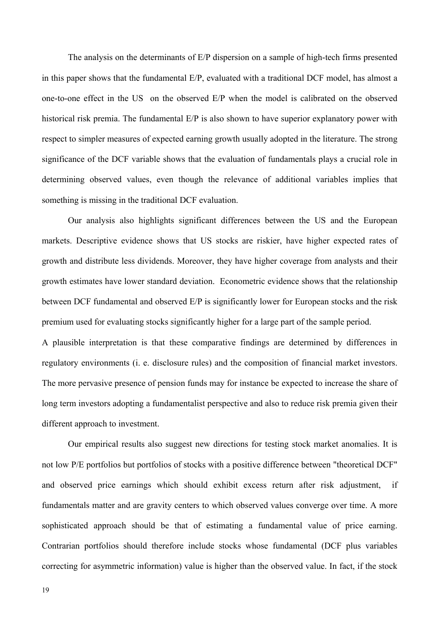The analysis on the determinants of E/P dispersion on a sample of high-tech firms presented in this paper shows that the fundamental E/P, evaluated with a traditional DCF model, has almost a one-to-one effect in the US on the observed E/P when the model is calibrated on the observed historical risk premia. The fundamental E/P is also shown to have superior explanatory power with respect to simpler measures of expected earning growth usually adopted in the literature. The strong significance of the DCF variable shows that the evaluation of fundamentals plays a crucial role in determining observed values, even though the relevance of additional variables implies that something is missing in the traditional DCF evaluation.

Our analysis also highlights significant differences between the US and the European markets. Descriptive evidence shows that US stocks are riskier, have higher expected rates of growth and distribute less dividends. Moreover, they have higher coverage from analysts and their growth estimates have lower standard deviation. Econometric evidence shows that the relationship between DCF fundamental and observed E/P is significantly lower for European stocks and the risk premium used for evaluating stocks significantly higher for a large part of the sample period. A plausible interpretation is that these comparative findings are determined by differences in regulatory environments (i. e. disclosure rules) and the composition of financial market investors. The more pervasive presence of pension funds may for instance be expected to increase the share of long term investors adopting a fundamentalist perspective and also to reduce risk premia given their different approach to investment.

Our empirical results also suggest new directions for testing stock market anomalies. It is not low P/E portfolios but portfolios of stocks with a positive difference between "theoretical DCF" and observed price earnings which should exhibit excess return after risk adjustment, if fundamentals matter and are gravity centers to which observed values converge over time. A more sophisticated approach should be that of estimating a fundamental value of price earning. Contrarian portfolios should therefore include stocks whose fundamental (DCF plus variables correcting for asymmetric information) value is higher than the observed value. In fact, if the stock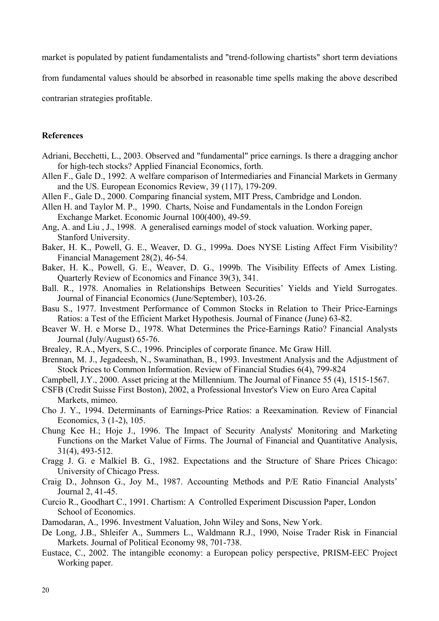market is populated by patient fundamentalists and "trend-following chartists" short term deviations

from fundamental values should be absorbed in reasonable time spells making the above described

contrarian strategies profitable.

#### **References**

- Adriani, Becchetti, L., 2003. Observed and "fundamental" price earnings. Is there a dragging anchor for high-tech stocks? Applied Financial Economics, forth.
- Allen F., Gale D., 1992. A welfare comparison of Intermediaries and Financial Markets in Germany and the US. European Economics Review, 39 (117), 179-209.
- Allen F., Gale D., 2000. Comparing financial system, MIT Press, Cambridge and London.
- Allen H. and Taylor M. P., 1990. Charts, Noise and Fundamentals in the London Foreign Exchange Market. Economic Journal 100(400), 49-59.
- Ang, A. and Liu , J., 1998. A generalised earnings model of stock valuation. Working paper, Stanford University.
- Baker, H. K., Powell, G. E., Weaver, D. G., 1999a. Does NYSE Listing Affect Firm Visibility? Financial Management 28(2), 46-54.
- Baker, H. K., Powell, G. E., Weaver, D. G., 1999b. The Visibility Effects of Amex Listing. Quarterly Review of Economics and Finance 39(3), 341.
- Ball. R., 1978. Anomalies in Relationships Between Securities' Yields and Yield Surrogates. Journal of Financial Economics (June/September), 103-26.
- Basu S., 1977. Investment Performance of Common Stocks in Relation to Their Price-Earnings Ratios: a Test of the Efficient Market Hypothesis. Journal of Finance (June) 63-82.
- Beaver W. H. e Morse D., 1978. What Determines the Price-Earnings Ratio? Financial Analysts Journal (July/August) 65-76.
- Brealey, R.A., Myers, S.C., 1996. Principles of corporate finance. Mc Graw Hill.
- Brennan, M. J., Jegadeesh, N., Swaminathan, B., 1993. Investment Analysis and the Adjustment of Stock Prices to Common Information. Review of Financial Studies 6(4), 799-824
- Campbell, J.Y., 2000. Asset pricing at the Millennium. The Journal of Finance 55 (4), 1515-1567.
- CSFB (Credit Suisse First Boston), 2002, a Professional Investor's View on Euro Area Capital Markets, mimeo.
- Cho J. Y., 1994. Determinants of Earnings-Price Ratios: a Reexamination. Review of Financial Economics, 3 (1-2), 105.
- Chung Kee H.; Hoje J., 1996. The Impact of Security Analysts' Monitoring and Marketing Functions on the Market Value of Firms. The Journal of Financial and Quantitative Analysis, 31(4), 493-512.
- Cragg J. G. e Malkiel B. G., 1982. Expectations and the Structure of Share Prices Chicago: University of Chicago Press.
- Craig D., Johnson G., Joy M., 1987. Accounting Methods and P/E Ratio Financial Analysts' Journal 2, 41-45.
- Curcio R., Goodhart C., 1991. Chartism: A Controlled Experiment Discussion Paper, London School of Economics.
- Damodaran, A., 1996. Investment Valuation, John Wiley and Sons, New York.
- De Long, J.B., Shleifer A., Summers L., Waldmann R.J., 1990, Noise Trader Risk in Financial Markets. Journal of Political Economy 98, 701-738.
- Eustace, C., 2002. The intangible economy: a European policy perspective, PRISM-EEC Project Working paper.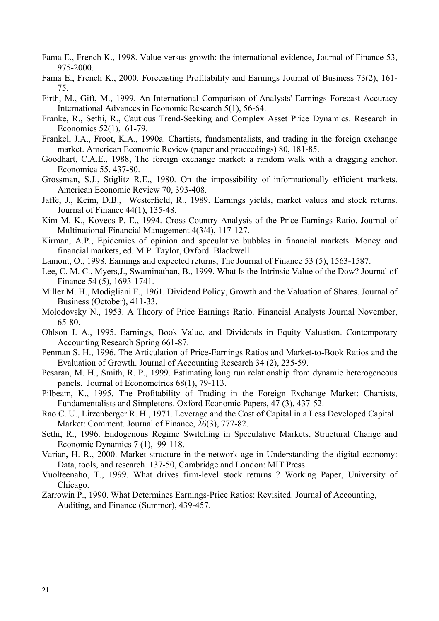- Fama E., French K., 1998. Value versus growth: the international evidence, Journal of Finance 53, 975-2000.
- Fama E., French K., 2000. Forecasting Profitability and Earnings Journal of Business 73(2), 161- 75.
- Firth, M., Gift, M., 1999. An International Comparison of Analysts' Earnings Forecast Accuracy International Advances in Economic Research 5(1), 56-64.
- Franke, R., Sethi, R., Cautious Trend-Seeking and Complex Asset Price Dynamics. Research in Economics 52(1), 61-79.
- Frankel, J.A., Froot, K.A., 1990a. Chartists, fundamentalists, and trading in the foreign exchange market. American Economic Review (paper and proceedings) 80, 181-85.
- Goodhart, C.A.E., 1988, The foreign exchange market: a random walk with a dragging anchor. Economica 55, 437-80.
- Grossman, S.J., Stiglitz R.E., 1980. On the impossibility of informationally efficient markets. American Economic Review 70, 393-408.
- Jaffe, J., Keim, D.B., Westerfield, R., 1989. Earnings yields, market values and stock returns. Journal of Finance 44(1), 135-48.
- Kim M. K., Koveos P. E., 1994. Cross-Country Analysis of the Price-Earnings Ratio. Journal of Multinational Financial Management 4(3/4), 117-127.
- Kirman, A.P., Epidemics of opinion and speculative bubbles in financial markets. Money and financial markets, ed. M.P. Taylor, Oxford. Blackwell
- Lamont, O., 1998. Earnings and expected returns, The Journal of Finance 53 (5), 1563-1587.
- Lee, C. M. C., Myers,J., Swaminathan, B., 1999. What Is the Intrinsic Value of the Dow? Journal of Finance 54 (5), 1693-1741.
- Miller M. H., Modigliani F., 1961. Dividend Policy, Growth and the Valuation of Shares. Journal of Business (October), 411-33.
- Molodovsky N., 1953. A Theory of Price Earnings Ratio. Financial Analysts Journal November, 65-80.
- Ohlson J. A., 1995. Earnings, Book Value, and Dividends in Equity Valuation. Contemporary Accounting Research Spring 661-87.
- Penman S. H., 1996. The Articulation of Price-Earnings Ratios and Market-to-Book Ratios and the Evaluation of Growth. Journal of Accounting Research 34 (2), 235-59.
- Pesaran, M. H., Smith, R. P., 1999. Estimating long run relationship from dynamic heterogeneous panels. Journal of Econometrics 68(1), 79-113.
- Pilbeam, K., 1995. The Profitability of Trading in the Foreign Exchange Market: Chartists, Fundamentalists and Simpletons. Oxford Economic Papers, 47 (3), 437-52.
- Rao C. U., Litzenberger R. H., 1971. Leverage and the Cost of Capital in a Less Developed Capital Market: Comment. Journal of Finance, 26(3), 777-82.
- Sethi, R., 1996. Endogenous Regime Switching in Speculative Markets, Structural Change and Economic Dynamics 7 (1), 99-118.
- Varian**,** H. R., 2000. Market structure in the network age in Understanding the digital economy: Data, tools, and research. 137-50, Cambridge and London: MIT Press.
- Vuolteenaho, T., 1999. What drives firm-level stock returns ? Working Paper, University of Chicago.
- Zarrowin P., 1990. What Determines Earnings-Price Ratios: Revisited. Journal of Accounting, Auditing, and Finance (Summer), 439-457.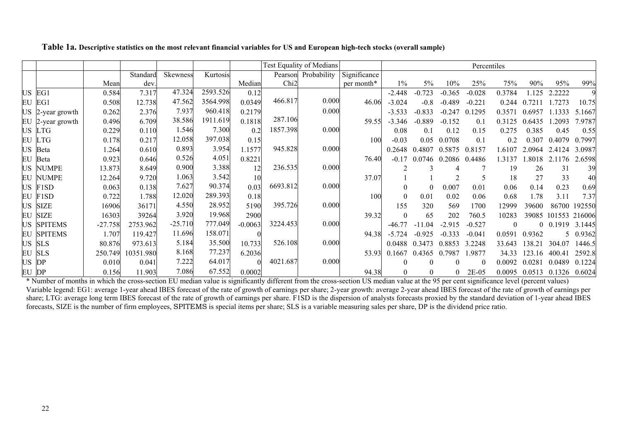|           |                   |           |           |           |          |           |                  | Test Equality of Medians |              |          |              |                | Percentiles |        |        |               |          |
|-----------|-------------------|-----------|-----------|-----------|----------|-----------|------------------|--------------------------|--------------|----------|--------------|----------------|-------------|--------|--------|---------------|----------|
|           |                   |           | Standard  | Skewness  | Kurtosis |           |                  | Pearson Probability      | Significance |          |              |                |             |        |        |               |          |
|           |                   | Mean      | dev       |           |          | Median    | Chi <sub>2</sub> |                          | per month*   | $1\%$    | $5\%$        | 10%            | 25%         | 75%    | 90%    | 95%           | 99%      |
| <b>JS</b> | EG1               | 0.584     | 7.317     | 47.324    | 2593.526 | 0.12      |                  |                          |              | $-2.448$ | $-0.723$     | $-0.365$       | $-0.028$    | 0.3784 | .125   | 2.2222        |          |
| EU        | EG1               | 0.508     | 12.738    | 47.562    | 3564.998 | 0.0349    | 466.817          | 0.000                    | 46.06        | $-3.024$ | $-0.8$       | $-0.489$       | -0.221      | 0.244  | 0.721  | .7273         | 10.75    |
| JS.       | 2-year growth     | 0.262     | 2.376     | 7.937     | 960.418  | 0.2179    |                  | 0.000                    |              | $-3.533$ | $-0.833$     | $-0.247$       | 0.1295      | 0.3571 | 0.6957 | .1333         | 5.1667   |
|           | EU 2-year growth  | 0.496     | 6.709     | 38.586    | 1911.619 | 0.1818    | 287.106          |                          | 59.55        | -3.346   | $-0.889$     | $-0.152$       | 0.1         | 0.3125 | 0.6435 | .2093         | 7.9787   |
| JS        | LTG               | 0.229     | 0.110     | 1.546     | 7.300    | 0.2       | 1857.398         | 0.000                    |              | 0.08     | 0.1          | 0.12           | 0.15        | 0.275  | 0.385  | 0.45          | 0.55     |
| EU        | <b>LTG</b>        | 0.178     | 0.217     | 12.058    | 397.038  | 0.15      |                  |                          | 100          | $-0.03$  | 0.05         | 0.0708         | 0.1         | 0.2    | 0.307  | 0.4079        | 0.7997   |
| JS        | Beta              | 1.264     | 0.610     | 0.893     | 3.954    | 1.1577    | 945.828          | 0.000                    |              | 0.2648   | 0.4807       | 0.5875         | 0.8157      | 1.6107 | 20964  | 2.4124        | 3.0987   |
| EU        | Beta              | 0.923     | 0.646     | 0.526     | 4.051    | 0.8221    |                  |                          | 76.40        | $-0.17$  | 0.0746       | 0.2086         | 0.4486      | 1.3137 | .8018  | 2.1176        | 2.6598   |
| <b>JS</b> | <b>NUMPE</b>      | 13.873    | 8.649     | 0.900     | 3.388    | 12        | 236.535          | 0.000                    |              |          | 3            |                |             | 19     | 26     | 31            | 39       |
| EU        | <b>NUMPE</b>      | 12.264    | 9.720     | 1.063     | 3.542    | 10        |                  |                          | 37.07        |          |              | $\overline{2}$ |             | 18     | 27     | 33            | 40       |
| JS        | F <sub>1</sub> SD | 0.063     | 0.138     | 7.627     | 90.374   | 0.03      | 6693.812         | 0.000                    |              | $\theta$ | $\mathbf{0}$ | 0.007          | 0.01        | 0.06   | 0.14   | 0.23          | 0.69     |
| EU        | F <sub>1</sub> SD | 0.722     | 1.788     | 12.020    | 289.393  | 0.18      |                  |                          | 100          | $\Omega$ | 0.01         | 0.02           | 0.06        | 0.68   | 1.78   | 3.11          | 7.37     |
| JS        | <b>SIZE</b>       | 16906     | 36171     | 4.550     | 28.952   | 5190      | 395.726          | 0.000                    |              | 155      | 320          | 569            | 1700        | 2999   | 39600  | 86700         | 192550   |
| EU        | <b>SIZE</b>       | 16303     | 39264     | 3.920     | 19.968   | 2900      |                  |                          | 39.32        | $\Omega$ | 65           | 202            | 760.5       | 10283  | 39085  | 101553        | 216006   |
| US        | <b>SPITEMS</b>    | $-27.758$ | 2753.962  | $-25.710$ | 777.049  | $-0.0063$ | 3224.453         | 0.000                    |              | $-46.77$ | $-11.04$     | $-2.915$       | $-0.527$    |        |        | 0.1919        | 3.1445   |
| EU        | <b>SPITEMS</b>    | 1.707     | 119.427   | 11.696    | 158.071  | $\Omega$  |                  |                          | 94.38        | -5.724   | $-0.925$     | $-0.333$       | $-0.041$    | 0.0591 | 0.9362 |               | 5 0.9362 |
| JS        | <b>SLS</b>        | 80.876    | 973.613   | 5.184     | 35.500   | 10.733    | 526.108          | 0.000                    |              | 0.0488   | 0.3473       | 0.8853         | 3.2248      | 33.643 | 138.21 | 304.07        | 1446.5   |
| EU        | <b>SLS</b>        | 250.749   | 10351.980 | 8.168     | 77.237   | 6.2036    |                  |                          | 53.93        | 0.1667   | 0.4365       | 0.7987         | 1.9877      | 34.33  | 123.16 | 400.41        | 2592.8   |
| JS        | DP                | 0.010     | 0.041     | 7.222     | 64.017   |           | 4021.687         | 0.000                    |              | $\theta$ | $\theta$     | $\theta$       |             | 0.0092 | 0.028  | 0.0489        | 0.1224   |
| EU DP     |                   | 0.156     | 11.903    | 7.086     | 67.552   | 0.0002    |                  |                          | 94.38        | $\theta$ | $\theta$     | 0              | $2E-05$     | 0.0095 | 0.0513 | 0.1326 0.6024 |          |

**Table 1a. Descriptive statistics on the most relevant financial variables for US and European high-tech stocks (overall sample)** 

\* Number of months in which the cross-section EU median value is significantly different from the cross-section US median value at the 95 per cent significance level (percent values) Variable legend: EG1: average 1-year ahead IBES forecast of the rate of growth of earnings per share; 2-year growth: average 2-year ahead IBES forecast of the rate of growth of earnings per share; LTG: average long term IBES forecast of the rate of growth of earnings per share. F1SD is the dispersion of analysts forecasts proxied by the standard deviation of 1-year ahead IBES forecasts, SIZE is the number of firm employees, SPITEMS is special items per share; SLS is a variable measuring sales per share, DP is the dividend price ratio.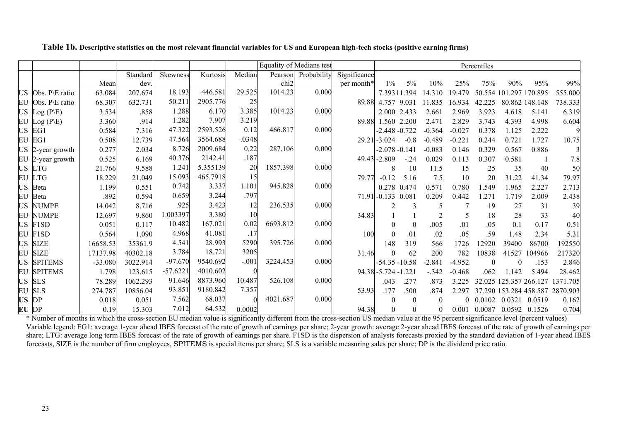|                        |                   |           |          |           |          |        |                  | <b>Equality of Medians test</b> |              |                  |                  |                |          | Percentiles |                |                 |                              |
|------------------------|-------------------|-----------|----------|-----------|----------|--------|------------------|---------------------------------|--------------|------------------|------------------|----------------|----------|-------------|----------------|-----------------|------------------------------|
|                        |                   |           | Standard | Skewness  | Kurtosis | Median | Pearson          | Probability                     | Significance |                  |                  |                |          |             |                |                 |                              |
|                        |                   | Mean      | dev.     |           |          |        | chi <sub>2</sub> |                                 | per month*   | $1\%$            | 5%               | 10%            | 25%      | 75%         | 90%            | 95%             | 99%                          |
|                        | US Obs. P\E ratio | 63.084    | 207.674  | 18.193    | 446.581  | 29.525 | 1014.23          | 0.000                           |              |                  | 7.39311.394      | 14.310         | 19.479   |             | 50.554 101.297 | 170.895         | 555.000                      |
|                        | EU Obs. P\E ratio | 68.307    | 632.731  | 50.211    | 2905.776 | 25     |                  |                                 | 89.88        | 4.757            | 9.031            | 1.835          | 16.934   | 42.225      |                | 80.862 148.148  | 738.333                      |
|                        | US $Log(P/E)$     | 3.534     | .858     | 1.288     | 6.170    | 3.385  | 1014.23          | 0.000                           |              | 2.000 2.433      |                  | 2.661          | 2.969    | 3.923       | 4.618          | 5.141           | 6.319                        |
| EU I                   | $Log(P \ E)$      | 3.360     | .914     | 1.282     | 7.907    | 3.219  |                  |                                 | 89.88        | 1.560 2.200      |                  | 2.471          | 2.829    | 3.743       | 4.393          | 4.998           | 6.604                        |
| US.                    | EG1               | 0.584     | 7.316    | 47.322    | 2593.526 | 0.12   | 466.817          | 0.000                           |              | $-2.448 - 0.722$ |                  | $-0.364$       | $-0.027$ | 0.378       | 1.125          | 2.222           |                              |
| EU                     | EG1               | 0.508     | 12.739   | 47.564    | 3564.688 | .0348  |                  |                                 |              | $29.21$ - 3.024  | $-0.8$           | $-0.489$       | $-0.221$ | 0.244       | 0.721          | 1.727           | 10.75                        |
|                        | US 2-year growth  | 0.277     | 2.034    | 8.726     | 2009.684 | 0.22   | 287.106          | 0.000                           |              | $-2.078 - 0.141$ |                  | $-0.083$       | 0.146    | 0.329       | 0.567          | 0.886           |                              |
|                        | EU 2-year growth  | 0.525     | 6.169    | 40.376    | 2142.41  | .187   |                  |                                 |              | $49.43 - 2.809$  | $-24$            | 0.029          | 0.113    | 0.307       | 0.581          |                 | 7.8                          |
| US                     | <b>TG</b>         | 21.766    | 9.588    | 1.24      | 5.355139 | 20     | 1857.398         | 0.000                           |              | 8                | 10               | 11.5           | 15       | 25          | 35             | 40              | 50                           |
| EU                     | <b>LTG</b>        | 18.229    | 21.049   | 15.093    | 465.7918 | 15     |                  |                                 | 79.77        | $-0.12$          | 5.16             | 7.5            | 10       | 20          | 31.22          | 41.34           | 79.97                        |
| $\overline{\text{US}}$ | Beta              | 1.199     | 0.551    | 0.742     | 3.337    | 1.101  | 945.828          | 0.000                           |              | 0.278 0.474      |                  | 0.571          | 0.780    | 1.549       | 1.965          | 2.227           | 2.713                        |
| EU                     | Beta              | .892      | 0.594    | 0.659     | 3.244    | .797   |                  |                                 |              | $71.91 - 0.133$  | 0.081            | 0.209          | 0.442    | 1.271       | 1.719          | 2.009           | 2.438                        |
| US.                    | <b>NUMPE</b>      | 14.042    | 8.716    | .925      | 3.423    | 12     | 236.535          | 0.000                           |              |                  | 3                | 5              |          | 19          | 27             | 31              | 39                           |
|                        | <b>EU NUMPE</b>   | 12.697    | 9.860    | .003397   | 3.380    | 10     |                  |                                 | 34.83        |                  |                  | $\mathfrak{D}$ |          | 18          | 28             | 33              | 40                           |
| US.                    | F <sub>1</sub> SD | 0.051     | 0.117    | 10.482    | 167.021  | 0.02   | 6693.812         | 0.000                           |              | $\Omega$         | $\boldsymbol{0}$ | .005           | .01      | .05         | 0.1            | 0.17            | 0.51                         |
| EU                     | F <sub>1</sub> SD | 0.564     | 1.090    | 4.968     | 41.081   | .17    |                  |                                 | 100          |                  | .01              | .02            | .05      | .59         | 1.48           | 2.34            | 5.31                         |
| JS                     | <b>SIZE</b>       | 16658.53  | 35361.9  | 4.541     | 28.993   | 5290   | 395.726          | 0.000                           |              | 148              | 319              | 566            | 1726     | 12920       | 39400          | 86700           | 192550                       |
| EU                     | <b>SIZE</b>       | 17137.98  | 40302.18 | 3.784     | 18.721   | 3205   |                  |                                 | 31.46        | $\Omega$         | 62               | 200            | 782      | 10838       | 41527          | 104966          | 217320                       |
|                        | US SPITEMS        | $-33.080$ | 3022.914 | $-97.670$ | 9540.692 | $-.00$ | 3224.453         | 0.000                           |              | $-54.35 - 10.58$ |                  | $-2.841$       | $-4.952$ | $\Omega$    | 0              | .153            | 2.846                        |
| EU                     | <b>SPITEMS</b>    | 1.798     | 123.615  | $-57.622$ | 4010.602 |        |                  |                                 |              | $94.38 - 5.724$  | $-1.221$         | $-.342$        | $-0.468$ | .062        | 1.142          | 5.494           | 28.462                       |
| JS                     | <b>SLS</b>        | 78.289    | 1062.293 | 91.646    | 8873.960 | 10.487 | 526.108          | 0.000                           |              | .043             | .277             | .873           | 3.225    | 32.025      |                | 125.357 266.127 | 1371.705                     |
| EU                     | <b>SLS</b>        | 274.787   | 10856.04 | 93.851    | 9180.842 | 7.357  |                  |                                 | 53.93        | .177             | .500             | .874           | 2.297    | 37          |                |                 | 290 153.284 458.587 2870.903 |
| US DP                  |                   | 0.018     | 0.051    | 7.562     | 68.037   |        | 4021.687         | 0.000                           |              | $\Omega$         | $\theta$         | $\theta$       |          | 0.0102      | 0.0321         | 0.0519          | 0.162                        |
| EU DP                  |                   | 0.19      | 15.303   | 7.012     | 64.532   | 0.0002 |                  |                                 | 94.38        | 0                | $\theta$         | 0              | 0.001    | 0.0087      |                | 0.0592 0.1526   | 0.704                        |

**Table 1b. Descriptive statistics on the most relevant financial variables for US and European high-tech stocks (positive earning firms)** 

\* Number of months in which the cross-section EU median value is significantly different from the cross-section US median value at the 95 percent significance level (percent values) Variable legend: EG1: average 1-year ahead IBES forecast of the rate of growth of earnings per share; 2-year growth: average 2-year ahead IBES forecast of the rate of growth of earnings per share; LTG: average long term IBES forecast of the rate of growth of earnings per share. F1SD is the dispersion of analysts forecasts proxied by the standard deviation of 1-year ahead IBES forecasts, SIZE is the number of firm employees, SPITEMS is special items per share; SLS is a variable measuring sales per share; DP is the dividend price ratio.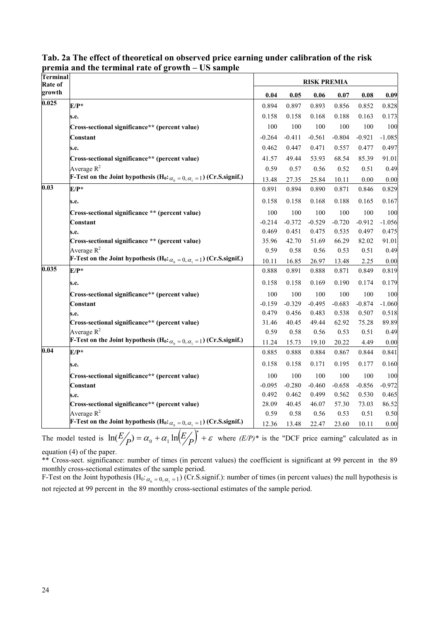| <b>Terminal</b>          |                                                                                                     |          |          | <b>RISK PREMIA</b> |          |          |          |
|--------------------------|-----------------------------------------------------------------------------------------------------|----------|----------|--------------------|----------|----------|----------|
| <b>Rate of</b><br>growth |                                                                                                     | 0.04     | 0.05     | 0.06               | 0.07     | 0.08     | 0.09     |
| 0.025                    | $E/P^*$                                                                                             | 0.894    | 0.897    | 0.893              | 0.856    | 0.852    | 0.828    |
|                          | s.e.                                                                                                | 0.158    | 0.158    | 0.168              | 0.188    | 0.163    | 0.173    |
|                          | Cross-sectional significance** (percent value)                                                      | 100      | 100      | 100                | 100      | 100      | 100      |
|                          | Constant                                                                                            | $-0.264$ | $-0.411$ | $-0.561$           | $-0.804$ | $-0.921$ | $-1.085$ |
|                          | s.e.                                                                                                | 0.462    | 0.447    | 0.471              | 0.557    | 0.477    | 0.497    |
|                          | Cross-sectional significance** (percent value)                                                      | 41.57    | 49.44    | 53.93              | 68.54    | 85.39    | 91.01    |
|                          | Average $R^2$                                                                                       | 0.59     | 0.57     | 0.56               | 0.52     | 0.51     | 0.49     |
|                          | <b>F-Test on the Joint hypothesis (H<sub>0</sub>:</b> $\alpha_0 = 0, \alpha_1 = 1$ ) (Cr.S.signif.) | 13.48    | 27.35    | 25.84              | 10.11    | 0.00     | 0.00     |
| 0.03                     | $E/P^*$                                                                                             | 0.891    | 0.894    | 0.890              | 0.871    | 0.846    | 0.829    |
|                          | s.e.                                                                                                | 0.158    | 0.158    | 0.168              | 0.188    | 0.165    | 0.167    |
|                          | Cross-sectional significance ** (percent value)                                                     | 100      | 100      | 100                | 100      | 100      | 100      |
|                          | Constant                                                                                            | $-0.214$ | $-0.372$ | $-0.529$           | $-0.720$ | $-0.912$ | $-1.056$ |
|                          | s.e.                                                                                                | 0.469    | 0.451    | 0.475              | 0.535    | 0.497    | 0.475    |
|                          | Cross-sectional significance ** (percent value)                                                     | 35.96    | 42.70    | 51.69              | 66.29    | 82.02    | 91.01    |
|                          | Average $R^2$                                                                                       | 0.59     | 0.58     | 0.56               | 0.53     | 0.51     | 0.49     |
|                          | <b>F-Test on the Joint hypothesis (H<sub>0</sub>:</b> $\alpha_0 = 0, \alpha_1 = 1$ ) (Cr.S.signif.) | 10.11    | 16.85    | 26.97              | 13.48    | 2.25     | 0.00     |
| 0.035                    | $E/P^*$                                                                                             | 0.888    | 0.891    | 0.888              | 0.871    | 0.849    | 0.819    |
|                          | s.e.                                                                                                | 0.158    | 0.158    | 0.169              | 0.190    | 0.174    | 0.179    |
|                          | Cross-sectional significance** (percent value)                                                      | 100      | 100      | 100                | 100      | 100      | 100      |
|                          | Constant                                                                                            | $-0.159$ | $-0.329$ | $-0.495$           | $-0.683$ | $-0.874$ | $-1.060$ |
|                          | s.e.                                                                                                | 0.479    | 0.456    | 0.483              | 0.538    | 0.507    | 0.518    |
|                          | Cross-sectional significance** (percent value)                                                      | 31.46    | 40.45    | 49.44              | 62.92    | 75.28    | 89.89    |
|                          | Average $R^2$                                                                                       | 0.59     | 0.58     | 0.56               | 0.53     | 0.51     | 0.49     |
|                          | <b>F-Test on the Joint hypothesis (H<sub>0</sub>:</b> $\alpha_0 = 0, \alpha_1 = 1$ ) (Cr.S.signif.) | 11.24    | 15.73    | 19.10              | 20.22    | 4.49     | 0.00     |
| 0.04                     | $E/P^*$                                                                                             | 0.885    | 0.888    | 0.884              | 0.867    | 0.844    | 0.841    |
|                          | s.e.                                                                                                | 0.158    | 0.158    | 0.171              | 0.195    | 0.177    | 0.160    |
|                          | Cross-sectional significance** (percent value)                                                      | 100      | 100      | 100                | 100      | 100      | 100      |
|                          | Constant                                                                                            | $-0.095$ | $-0.280$ | $-0.460$           | $-0.658$ | $-0.856$ | $-0.972$ |
|                          | s.e.                                                                                                | 0.492    | 0.462    | 0.499              | 0.562    | 0.530    | 0.465    |
|                          | Cross-sectional significance** (percent value)                                                      | 28.09    | 40.45    | 46.07              | 57.30    | 73.03    | 86.52    |
|                          | Average $R^2$                                                                                       | 0.59     | 0.58     | 0.56               | 0.53     | 0.51     | 0.50     |
|                          | F-Test on the Joint hypothesis (H <sub>0</sub> : $\alpha_0 = 0, \alpha_1 = 1$ ) (Cr.S.signif.)      | 12.36    | 13.48    | 22.47              | 23.60    | 10.11    | 0.00     |

#### **Tab. 2a The effect of theoretical on observed price earning under calibration of the risk premia and the terminal rate of growth – US sample**

The model tested is  $\ln(E/p) = \alpha_0 + \alpha_1 \ln(E/p)^* + \varepsilon$  $E_P$  =  $\alpha_0 + \alpha_1 \ln \left(\frac{E}{P}\right)^r + \varepsilon$  where  $(E/P)^*$  is the "DCF price earning" calculated as in

equation (4) of the paper.

\*\* Cross-sect. significance: number of times (in percent values) the coefficient is significant at 99 percent in the 89 monthly cross-sectional estimates of the sample period.

F-Test on the Joint hypothesis (H<sub>0</sub>:  $\alpha_0 = 0$ ,  $\alpha_1 = 1$ ) (Cr.S.signif.): number of times (in percent values) the null hypothesis is not rejected at 99 percent in the 89 monthly cross-sectional estimates of the sample period.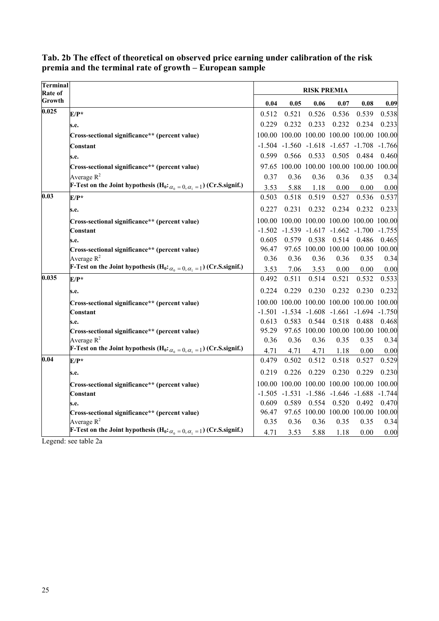| <b>Terminal</b><br><b>Rate of</b> |                                                                                                     |       |       | <b>RISK PREMIA</b>                                    |       |          |          |
|-----------------------------------|-----------------------------------------------------------------------------------------------------|-------|-------|-------------------------------------------------------|-------|----------|----------|
| Growth                            |                                                                                                     | 0.04  | 0.05  | 0.06                                                  | 0.07  | 0.08     | 0.09     |
| 0.025                             | $E/P^*$                                                                                             | 0.512 | 0.521 | 0.526                                                 | 0.536 | 0.539    | 0.538    |
|                                   | s.e.                                                                                                | 0.229 | 0.232 | 0.233                                                 | 0.232 | 0.234    | 0.233    |
|                                   | Cross-sectional significance** (percent value)                                                      |       |       | 100.00 100.00 100.00 100.00 100.00 100.00             |       |          |          |
|                                   | Constant                                                                                            |       |       | $-1.504$ $-1.560$ $-1.618$ $-1.657$ $-1.708$          |       |          | $-1.766$ |
|                                   | s.e.                                                                                                | 0.599 | 0.566 | 0.533                                                 | 0.505 | 0.484    | 0.460    |
|                                   | Cross-sectional significance** (percent value)                                                      |       |       | 97.65 100.00 100.00 100.00 100.00 100.00              |       |          |          |
|                                   | Average $R^2$                                                                                       | 0.37  | 0.36  | 0.36                                                  | 0.36  | 0.35     | 0.34     |
|                                   | F-Test on the Joint hypothesis (H <sub>0</sub> : $\alpha_0 = 0, \alpha_1 = 1$ ) (Cr.S.signif.)      | 3.53  | 5.88  | 1.18                                                  | 0.00  | 0.00     | 0.00     |
| 0.03                              | $E/P^*$                                                                                             | 0.503 | 0.518 | 0.519                                                 | 0.527 | 0.536    | 0.537    |
|                                   | s.e.                                                                                                | 0.227 | 0.231 | 0.232                                                 | 0.234 | 0.232    | 0.233    |
|                                   | Cross-sectional significance** (percent value)                                                      |       |       | 100.00 100.00 100.00 100.00 100.00 100.00             |       |          |          |
|                                   | Constant                                                                                            |       |       | $-1.502$ $-1.539$ $-1.617$ $-1.662$ $-1.700$          |       |          | $-1.755$ |
|                                   | s.e.                                                                                                | 0.605 | 0.579 | 0.538                                                 | 0.514 | 0.486    | 0.465    |
|                                   | Cross-sectional significance** (percent value)                                                      | 96.47 |       | 97.65 100.00 100.00 100.00 100.00                     |       |          |          |
|                                   | Average $R^2$                                                                                       | 0.36  | 0.36  | 0.36                                                  | 0.36  | 0.35     | 0.34     |
|                                   | <b>F-Test on the Joint hypothesis (H<sub>0</sub>:</b> $\alpha_0 = 0, \alpha_1 = 1$ ) (Cr.S.signif.) | 3.53  | 7.06  | 3.53                                                  | 0.00  | 0.00     | 0.00     |
| 0.035                             | $E/P^*$                                                                                             | 0.492 | 0.511 | 0.514                                                 | 0.521 | 0.532    | 0.533    |
|                                   | s.e.                                                                                                | 0.224 | 0.229 | 0.230                                                 | 0.232 | 0.230    | 0.232    |
|                                   | Cross-sectional significance** (percent value)                                                      |       |       | 100.00 100.00 100.00 100.00 100.00 100.00             |       |          |          |
|                                   | Constant                                                                                            |       |       | $-1.501$ $-1.534$ $-1.608$ $-1.661$ $-1.694$ $-1.750$ |       |          |          |
|                                   | s.e.                                                                                                | 0.613 | 0.583 | 0.544                                                 | 0.518 | 0.488    | 0.468    |
|                                   | Cross-sectional significance** (percent value)                                                      | 95.29 |       | 97.65 100.00 100.00 100.00 100.00                     |       |          |          |
|                                   | Average $R^2$                                                                                       | 0.36  | 0.36  | 0.36                                                  | 0.35  | 0.35     | 0.34     |
|                                   | <b>F-Test on the Joint hypothesis (H<sub>0</sub>:</b> $\alpha_0 = 0, \alpha_1 = 1$ ) (Cr.S.signif.) | 4.71  | 4.71  | 4.71                                                  | 1.18  | 0.00     | 0.00     |
| 0.04                              | $E/P^*$                                                                                             | 0.479 | 0.502 | 0.512                                                 | 0.518 | 0.527    | 0.529    |
|                                   | s.e.                                                                                                | 0.219 | 0.226 | 0.229                                                 | 0.230 | 0.229    | 0.230    |
|                                   | Cross-sectional significance** (percent value)                                                      |       |       | 100.00 100.00 100.00 100.00 100.00 100.00             |       |          |          |
|                                   | Constant                                                                                            |       |       | $-1.505$ $-1.531$ $-1.586$ $-1.646$ $-1.688$          |       |          | -1.744   |
|                                   | s.e.                                                                                                | 0.609 |       | 0.589 0.554                                           | 0.520 | 0.492    | 0.470    |
|                                   | Cross-sectional significance** (percent value)                                                      | 96.47 |       | 97.65 100.00 100.00 100.00 100.00                     |       |          |          |
|                                   | Average $R^2$                                                                                       | 0.35  | 0.36  | 0.36                                                  | 0.35  | 0.35     | 0.34     |
|                                   | <b>F-Test on the Joint hypothesis (H<sub>0</sub>:</b> $\alpha_0 = 0, \alpha_1 = 1$ ) (Cr.S.signif.) | 4.71  | 3.53  | 5.88                                                  | 1.18  | $0.00\,$ | 0.00     |

# **Tab. 2b The effect of theoretical on observed price earning under calibration of the risk premia and the terminal rate of growth – European sample**

Legend: see table 2a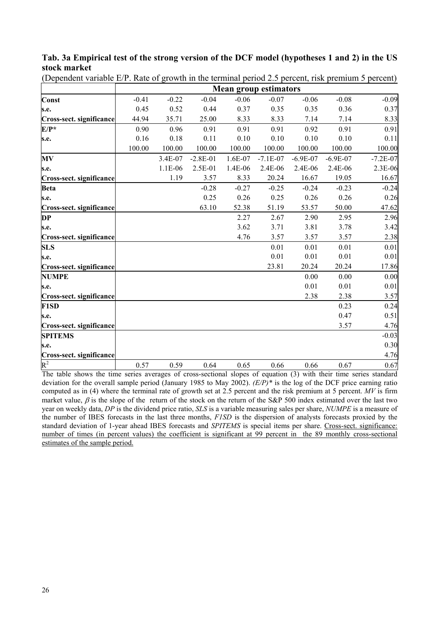### **Tab. 3a Empirical test of the strong version of the DCF model (hypotheses 1 and 2) in the US stock market**

|                          |         |         |            |         | <b>Mean group estimators</b> |            |            |            |
|--------------------------|---------|---------|------------|---------|------------------------------|------------|------------|------------|
| <b>Const</b>             | $-0.41$ | $-0.22$ | $-0.04$    | $-0.06$ | $-0.07$                      | $-0.06$    | $-0.08$    | $-0.09$    |
| s.e.                     | 0.45    | 0.52    | 0.44       | 0.37    | 0.35                         | 0.35       | 0.36       | 0.37       |
| Cross-sect. significance | 44.94   | 35.71   | 25.00      | 8.33    | 8.33                         | 7.14       | 7.14       | 8.33       |
| $E/P^*$                  | 0.90    | 0.96    | 0.91       | 0.91    | 0.91                         | 0.92       | 0.91       | 0.91       |
| s.e.                     | 0.16    | 0.18    | 0.11       | 0.10    | 0.10                         | 0.10       | 0.10       | 0.11       |
|                          | 100.00  | 100.00  | 100.00     | 100.00  | 100.00                       | 100.00     | 100.00     | 100.00     |
| MV                       |         | 3.4E-07 | $-2.8E-01$ | 1.6E-07 | $-7.1E-07$                   | $-6.9E-07$ | $-6.9E-07$ | $-7.2E-07$ |
| s.e.                     |         | 1.1E-06 | 2.5E-01    | 1.4E-06 | 2.4E-06                      | 2.4E-06    | 2.4E-06    | 2.3E-06    |
| Cross-sect. significance |         | 1.19    | 3.57       | 8.33    | 20.24                        | 16.67      | 19.05      | 16.67      |
| <b>Beta</b>              |         |         | $-0.28$    | $-0.27$ | $-0.25$                      | $-0.24$    | $-0.23$    | $-0.24$    |
| s.e.                     |         |         | 0.25       | 0.26    | 0.25                         | 0.26       | 0.26       | 0.26       |
| Cross-sect. significance |         |         | 63.10      | 52.38   | 51.19                        | 53.57      | 50.00      | 47.62      |
| <b>DP</b>                |         |         |            | 2.27    | 2.67                         | 2.90       | 2.95       | 2.96       |
| s.e.                     |         |         |            | 3.62    | 3.71                         | 3.81       | 3.78       | 3.42       |
| Cross-sect. significance |         |         |            | 4.76    | 3.57                         | 3.57       | 3.57       | 2.38       |
| <b>SLS</b>               |         |         |            |         | 0.01                         | 0.01       | 0.01       | 0.01       |
| s.e.                     |         |         |            |         | 0.01                         | 0.01       | 0.01       | 0.01       |
| Cross-sect. significance |         |         |            |         | 23.81                        | 20.24      | 20.24      | 17.86      |
| <b>NUMPE</b>             |         |         |            |         |                              | 0.00       | 0.00       | 0.00       |
| s.e.                     |         |         |            |         |                              | 0.01       | 0.01       | 0.01       |
| Cross-sect. significance |         |         |            |         |                              | 2.38       | 2.38       | 3.57       |
| F <sub>1</sub> SD        |         |         |            |         |                              |            | 0.23       | 0.24       |
| s.e.                     |         |         |            |         |                              |            | 0.47       | 0.51       |
| Cross-sect. significance |         |         |            |         |                              |            | 3.57       | 4.76       |
| <b>SPITEMS</b>           |         |         |            |         |                              |            |            | $-0.03$    |
| s.e.                     |         |         |            |         |                              |            |            | 0.30       |
| Cross-sect. significance |         |         |            |         |                              |            |            | 4.76       |
| $R^2$                    | 0.57    | 0.59    | 0.64       | 0.65    | 0.66                         | 0.66       | 0.67       | 0.67       |

(Dependent variable E/P. Rate of growth in the terminal period 2.5 percent, risk premium 5 percent)

The table shows the time series averages of cross-sectional slopes of equation (3) with their time series standard deviation for the overall sample period (January 1985 to May 2002). *(E/P)\** is the log of the DCF price earning ratio computed as in (4) where the terminal rate of growth set at 2.5 percent and the risk premium at 5 percent. *MV* is firm market value.  $\beta$  is the slope of the return of the stock on the return of the S&P 500 index estimated over the last two year on weekly data, *DP* is the dividend price ratio, *SLS* is a variable measuring sales per share, *NUMPE* is a measure of the number of IBES forecasts in the last three months, *F1SD* is the dispersion of analysts forecasts proxied by the standard deviation of 1-year ahead IBES forecasts and *SPITEMS* is special items per share. Cross-sect. significance: number of times (in percent values) the coefficient is significant at 99 percent in the 89 monthly cross-sectional estimates of the sample period.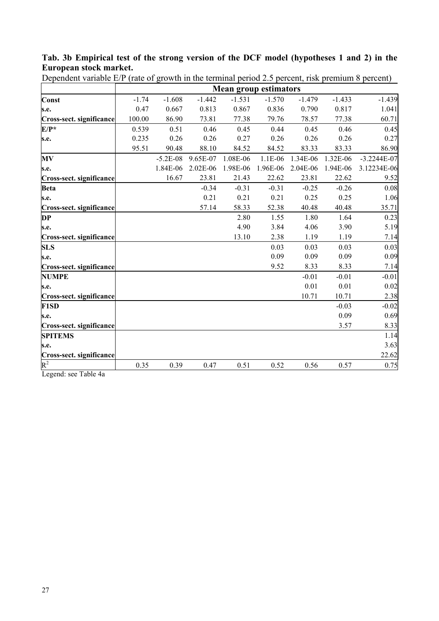# **Tab. 3b Empirical test of the strong version of the DCF model (hypotheses 1 and 2) in the European stock market.**

|                          |         |            |          | <b>Mean group estimators</b> |          |          |          |               |
|--------------------------|---------|------------|----------|------------------------------|----------|----------|----------|---------------|
| <b>Const</b>             | $-1.74$ | $-1.608$   | $-1.442$ | $-1.531$                     | $-1.570$ | $-1.479$ | $-1.433$ | $-1.439$      |
| s.e.                     | 0.47    | 0.667      | 0.813    | 0.867                        | 0.836    | 0.790    | 0.817    | 1.041         |
| Cross-sect. significance | 100.00  | 86.90      | 73.81    | 77.38                        | 79.76    | 78.57    | 77.38    | 60.71         |
| $E/P^*$                  | 0.539   | 0.51       | 0.46     | 0.45                         | 0.44     | 0.45     | 0.46     | 0.45          |
| s.e.                     | 0.235   | 0.26       | 0.26     | 0.27                         | 0.26     | 0.26     | 0.26     | 0.27          |
|                          | 95.51   | 90.48      | 88.10    | 84.52                        | 84.52    | 83.33    | 83.33    | 86.90         |
| MV                       |         | $-5.2E-08$ | 9.65E-07 | 1.08E-06                     | 1.1E-06  | 1.34E-06 | 1.32E-06 | $-3.2244E-07$ |
| s.e.                     |         | 1.84E-06   | 2.02E-06 | 1.98E-06                     | 1.96E-06 | 2.04E-06 | 1.94E-06 | 3.12234E-06   |
| Cross-sect. significance |         | 16.67      | 23.81    | 21.43                        | 22.62    | 23.81    | 22.62    | 9.52          |
| <b>Beta</b>              |         |            | $-0.34$  | $-0.31$                      | $-0.31$  | $-0.25$  | $-0.26$  | 0.08          |
| s.e.                     |         |            | 0.21     | 0.21                         | 0.21     | 0.25     | 0.25     | 1.06          |
| Cross-sect. significance |         |            | 57.14    | 58.33                        | 52.38    | 40.48    | 40.48    | 35.71         |
| <b>DP</b>                |         |            |          | 2.80                         | 1.55     | 1.80     | 1.64     | 0.23          |
| s.e.                     |         |            |          | 4.90                         | 3.84     | 4.06     | 3.90     | 5.19          |
| Cross-sect. significance |         |            |          | 13.10                        | 2.38     | 1.19     | 1.19     | 7.14          |
| <b>SLS</b>               |         |            |          |                              | 0.03     | 0.03     | 0.03     | 0.03          |
| s.e.                     |         |            |          |                              | 0.09     | 0.09     | 0.09     | 0.09          |
| Cross-sect. significance |         |            |          |                              | 9.52     | 8.33     | 8.33     | 7.14          |
| <b>NUMPE</b>             |         |            |          |                              |          | $-0.01$  | $-0.01$  | $-0.01$       |
| s.e.                     |         |            |          |                              |          | 0.01     | 0.01     | 0.02          |
| Cross-sect. significance |         |            |          |                              |          | 10.71    | 10.71    | 2.38          |
| F <sub>1</sub> SD        |         |            |          |                              |          |          | $-0.03$  | $-0.02$       |
| s.e.                     |         |            |          |                              |          |          | 0.09     | 0.69          |
| Cross-sect. significance |         |            |          |                              |          |          | 3.57     | 8.33          |
| <b>SPITEMS</b>           |         |            |          |                              |          |          |          | 1.14          |
| s.e.                     |         |            |          |                              |          |          |          | 3.63          |
| Cross-sect. significance |         |            |          |                              |          |          |          | 22.62         |
| $R^2$<br>$-11$           | 0.35    | 0.39       | 0.47     | 0.51                         | 0.52     | 0.56     | 0.57     | 0.75          |

Dependent variable E/P (rate of growth in the terminal period 2.5 percent, risk premium 8 percent)

Legend: see Table 4a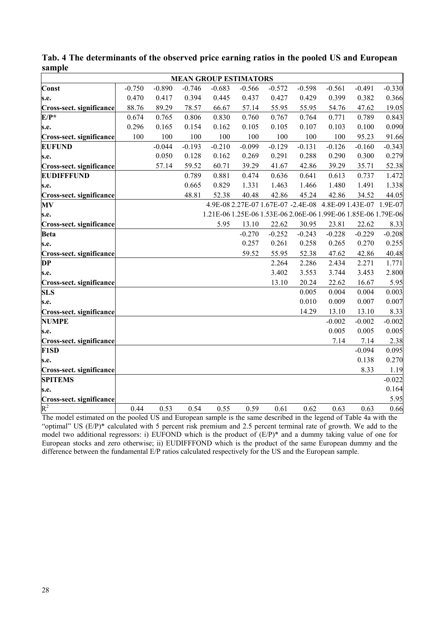|                          |          |          |          | <b>MEAN GROUP ESTIMATORS</b> |          |          |                                                                |          |                          |          |
|--------------------------|----------|----------|----------|------------------------------|----------|----------|----------------------------------------------------------------|----------|--------------------------|----------|
| Const                    | $-0.750$ | $-0.890$ | $-0.746$ | $-0.683$                     | $-0.566$ | $-0.572$ | $-0.598$                                                       | $-0.561$ | $-0.491$                 | $-0.330$ |
| s.e.                     | 0.470    | 0.417    | 0.394    | 0.445                        | 0.437    | 0.427    | 0.429                                                          | 0.399    | 0.382                    | 0.366    |
| Cross-sect. significance | 88.76    | 89.29    | 78.57    | 66.67                        | 57.14    | 55.95    | 55.95                                                          | 54.76    | 47.62                    | 19.05    |
| $E/P^*$                  | 0.674    | 0.765    | 0.806    | 0.830                        | 0.760    | 0.767    | 0.764                                                          | 0.771    | 0.789                    | 0.843    |
| s.e.                     | 0.296    | 0.165    | 0.154    | 0.162                        | 0.105    | 0.105    | 0.107                                                          | 0.103    | 0.100                    | 0.090    |
| Cross-sect. significance | 100      | 100      | 100      | 100                          | 100      | 100      | 100                                                            | 100      | 95.23                    | 91.66    |
| <b>EUFUND</b>            |          | $-0.044$ | $-0.193$ | $-0.210$                     | $-0.099$ | $-0.129$ | $-0.131$                                                       | $-0.126$ | $-0.160$                 | $-0.343$ |
| s.e.                     |          | 0.050    | 0.128    | 0.162                        | 0.269    | 0.291    | 0.288                                                          | 0.290    | 0.300                    | 0.279    |
| Cross-sect. significance |          | 57.14    | 59.52    | 60.71                        | 39.29    | 41.67    | 42.86                                                          | 39.29    | 35.71                    | 52.38    |
| <b>EUDIFFFUND</b>        |          |          | 0.789    | 0.881                        | 0.474    | 0.636    | 0.641                                                          | 0.613    | 0.737                    | 1.472    |
| s.e.                     |          |          | 0.665    | 0.829                        | 1.331    | 1.463    | 1.466                                                          | 1.480    | 1.491                    | 1.338    |
| Cross-sect. significance |          |          | 48.81    | 52.38                        | 40.48    | 42.86    | 45.24                                                          | 42.86    | 34.52                    | 44.05    |
| MV                       |          |          |          |                              |          |          | 4.9E-08 2.27E-07 1.67E-07 -2.4E-08                             |          | 4.8E-09 1.43E-07 1.9E-07 |          |
| s.e.                     |          |          |          |                              |          |          | 1.21E-06 1.25E-06 1.53E-06 2.06E-06 1.99E-06 1.85E-06 1.79E-06 |          |                          |          |
| Cross-sect. significance |          |          |          | 5.95                         | 13.10    | 22.62    | 30.95                                                          | 23.81    | 22.62                    | 8.33     |
| <b>Beta</b>              |          |          |          |                              | $-0.270$ | $-0.252$ | $-0.243$                                                       | $-0.228$ | $-0.229$                 | $-0.208$ |
| s.e.                     |          |          |          |                              | 0.257    | 0.261    | 0.258                                                          | 0.265    | 0.270                    | 0.255    |
| Cross-sect. significance |          |          |          |                              | 59.52    | 55.95    | 52.38                                                          | 47.62    | 42.86                    | 40.48    |
| <b>DP</b>                |          |          |          |                              |          | 2.264    | 2.286                                                          | 2.434    | 2.271                    | 1.771    |
| s.e.                     |          |          |          |                              |          | 3.402    | 3.553                                                          | 3.744    | 3.453                    | 2.800    |
| Cross-sect. significance |          |          |          |                              |          | 13.10    | 20.24                                                          | 22.62    | 16.67                    | 5.95     |
| <b>SLS</b>               |          |          |          |                              |          |          | 0.005                                                          | 0.004    | 0.004                    | 0.003    |
| s.e.                     |          |          |          |                              |          |          | 0.010                                                          | 0.009    | 0.007                    | 0.007    |
| Cross-sect. significance |          |          |          |                              |          |          | 14.29                                                          | 13.10    | 13.10                    | 8.33     |
| <b>NUMPE</b>             |          |          |          |                              |          |          |                                                                | $-0.002$ | $-0.002$                 | $-0.002$ |
| s.e.                     |          |          |          |                              |          |          |                                                                | 0.005    | 0.005                    | 0.005    |
| Cross-sect. significance |          |          |          |                              |          |          |                                                                | 7.14     | 7.14                     | 2.38     |
| <b>F1SD</b>              |          |          |          |                              |          |          |                                                                |          | $-0.094$                 | 0.095    |
| s.e.                     |          |          |          |                              |          |          |                                                                |          | 0.138                    | 0.270    |
| Cross-sect. significance |          |          |          |                              |          |          |                                                                |          | 8.33                     | 1.19     |
| <b>SPITEMS</b>           |          |          |          |                              |          |          |                                                                |          |                          | $-0.022$ |
| s.e.                     |          |          |          |                              |          |          |                                                                |          |                          | 0.164    |
| Cross-sect. significance |          |          |          |                              |          |          |                                                                |          |                          | 5.95     |
| $R^2$                    | 0.44     | 0.53     | 0.54     | 0.55                         | 0.59     | 0.61     | 0.62                                                           | 0.63     | 0.63                     | 0.66     |

**Tab. 4 The determinants of the observed price earning ratios in the pooled US and European sample** 

The model estimated on the pooled US and European sample is the same described in the legend of Table 4a with the "optimal" US (E/P)\* calculated with 5 percent risk premium and 2.5 percent terminal rate of growth. We add to the model two additional regressors: i) EUFOND which is the product of (E/P)\* and a dummy taking value of one for European stocks and zero otherwise; ii) EUDIFFFOND which is the product of the same European dummy and the difference between the fundamental E/P ratios calculated respectively for the US and the European sample.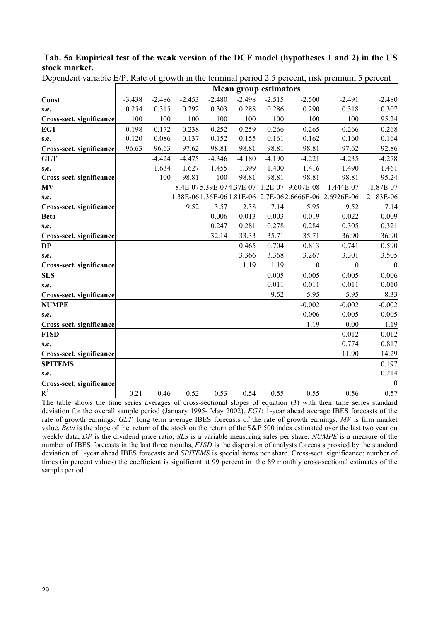**Tab. 5a Empirical test of the weak version of the DCF model (hypotheses 1 and 2) in the US stock market.** 

|                          |          |          |          |          | <b>Mean group estimators</b> |          |          |                                                          |                  |
|--------------------------|----------|----------|----------|----------|------------------------------|----------|----------|----------------------------------------------------------|------------------|
| <b>Const</b>             | $-3.438$ | $-2.486$ | $-2.453$ | $-2.480$ | $-2.498$                     | $-2.515$ | $-2.500$ | $-2.491$                                                 | $-2.480$         |
| s.e.                     | 0.254    | 0.315    | 0.292    | 0.303    | 0.288                        | 0.286    | 0.290    | 0.318                                                    | 0.307            |
| Cross-sect. significance | 100      | 100      | 100      | 100      | 100                          | 100      | 100      | 100                                                      | 95.24            |
| EG1                      | $-0.198$ | $-0.172$ | $-0.238$ | $-0.252$ | $-0.259$                     | $-0.266$ | $-0.265$ | $-0.266$                                                 | $-0.268$         |
| s.e.                     | 0.120    | 0.086    | 0.137    | 0.152    | 0.155                        | 0.161    | 0.162    | 0.160                                                    | 0.164            |
| Cross-sect. significance | 96.63    | 96.63    | 97.62    | 98.81    | 98.81                        | 98.81    | 98.81    | 97.62                                                    | 92.86            |
| <b>GLT</b>               |          | $-4.424$ | $-4.475$ | $-4.346$ | $-4.180$                     | $-4.190$ | $-4.221$ | $-4.235$                                                 | $-4.278$         |
| s.e.                     |          | 1.634    | 1.627    | 1.455    | 1.399                        | 1.400    | 1.416    | 1.490                                                    | 1.461            |
| Cross-sect. significance |          | 100      | 98.81    | 100      | 98.81                        | 98.81    | 98.81    | 98.81                                                    | 95.24            |
| <b>MV</b>                |          |          |          |          |                              |          |          | 8.4E-07 5.39E-07 4.37E-07 -1.2E-07 -9.607E-08 -1.444E-07 | $-1.87E-07$      |
| s.e.                     |          |          |          |          |                              |          |          | 1.38E-06 1.36E-06 1.81E-06 2.7E-062.6666E-06 2.6926E-06  | 2.183E-06        |
| Cross-sect. significance |          |          | 9.52     | 3.57     | 2.38                         | 7.14     | 5.95     | 9.52                                                     | 7.14             |
| <b>Beta</b>              |          |          |          | 0.006    | $-0.013$                     | 0.003    | 0.019    | 0.022                                                    | 0.009            |
| s.e.                     |          |          |          | 0.247    | 0.281                        | 0.278    | 0.284    | 0.305                                                    | 0.321            |
| Cross-sect. significance |          |          |          | 32.14    | 33.33                        | 35.71    | 35.71    | 36.90                                                    | 36.90            |
| <b>DP</b>                |          |          |          |          | 0.465                        | 0.704    | 0.813    | 0.741                                                    | 0.590            |
| s.e.                     |          |          |          |          | 3.366                        | 3.368    | 3.267    | 3.301                                                    | 3.505            |
| Cross-sect. significance |          |          |          |          | 1.19                         | 1.19     | $\theta$ | $\mathbf{0}$                                             | $\boldsymbol{0}$ |
| <b>SLS</b>               |          |          |          |          |                              | 0.005    | 0.005    | 0.005                                                    | 0.006            |
| s.e.                     |          |          |          |          |                              | 0.011    | 0.011    | 0.011                                                    | 0.010            |
| Cross-sect. significance |          |          |          |          |                              | 9.52     | 5.95     | 5.95                                                     | 8.33             |
| <b>NUMPE</b>             |          |          |          |          |                              |          | $-0.002$ | $-0.002$                                                 | $-0.002$         |
| s.e.                     |          |          |          |          |                              |          | 0.006    | 0.005                                                    | 0.005            |
| Cross-sect. significance |          |          |          |          |                              |          | 1.19     | 0.00                                                     | 1.19             |
| F <sub>1</sub> SD        |          |          |          |          |                              |          |          | $-0.012$                                                 | $-0.012$         |
| s.e.                     |          |          |          |          |                              |          |          | 0.774                                                    | 0.817            |
| Cross-sect. significance |          |          |          |          |                              |          |          | 11.90                                                    | 14.29            |
| <b>SPITEMS</b>           |          |          |          |          |                              |          |          |                                                          | 0.197            |
| s.e.                     |          |          |          |          |                              |          |          |                                                          | 0.214            |
| Cross-sect. significance |          |          |          |          |                              |          |          |                                                          | $\boldsymbol{0}$ |
| $R^2$                    | 0.21     | 0.46     | 0.52     | 0.53     | 0.54                         | 0.55     | 0.55     | 0.56                                                     | 0.57             |

Dependent variable E/P. Rate of growth in the terminal period 2.5 percent, risk premium 5 percent

The table shows the time series averages of cross-sectional slopes of equation (3) with their time series standard deviation for the overall sample period (January 1995- May 2002). *EG1*: 1-year ahead average IBES forecasts of the rate of growth earnings. *GLT*: long term average IBES forecasts of the rate of growth earnings, *MV* is firm market value, *Beta* is the slope of the return of the stock on the return of the S&P 500 index estimated over the last two year on weekly data, *DP* is the dividend price ratio, *SLS* is a variable measuring sales per share, *NUMPE* is a measure of the number of IBES forecasts in the last three months, *F1SD* is the dispersion of analysts forecasts proxied by the standard deviation of 1-year ahead IBES forecasts and *SPITEMS* is special items per share. Cross-sect. significance: number of times (in percent values) the coefficient is significant at 99 percent in the 89 monthly cross-sectional estimates of the sample period.